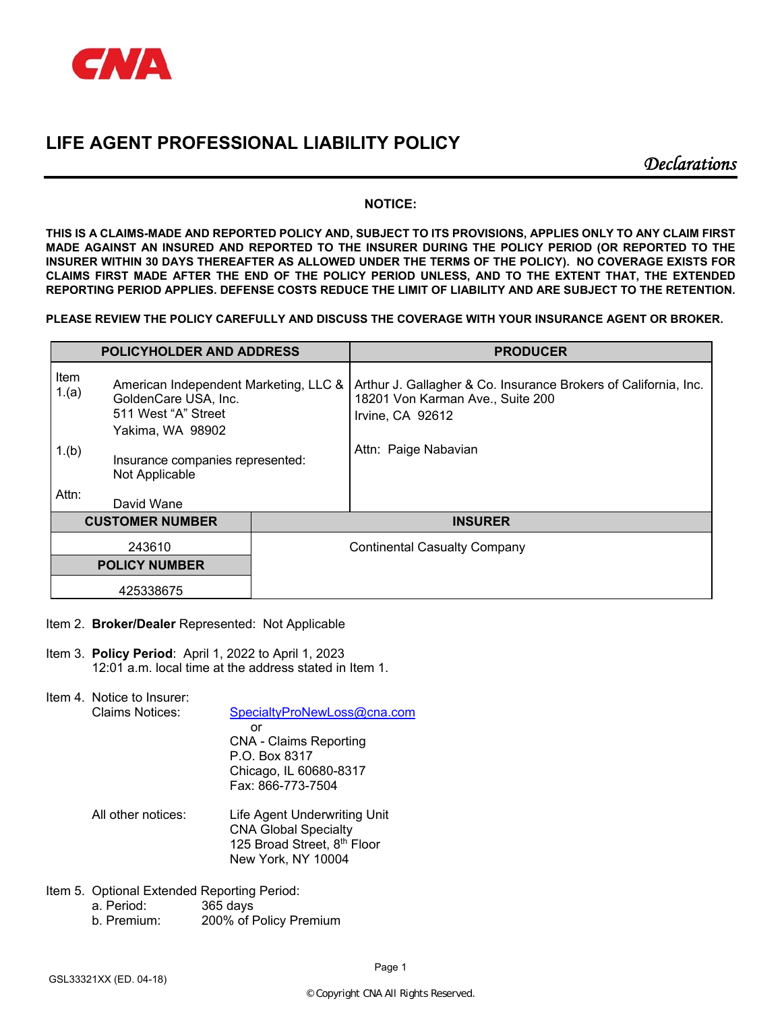

*Declarations* 

# **NOTICE:**

**THIS IS A CLAIMS-MADE AND REPORTED POLICY AND, SUBJECT TO ITS PROVISIONS, APPLIES ONLY TO ANY CLAIM FIRST MADE AGAINST AN INSURED AND REPORTED TO THE INSURER DURING THE POLICY PERIOD (OR REPORTED TO THE INSURER WITHIN 30 DAYS THEREAFTER AS ALLOWED UNDER THE TERMS OF THE POLICY). NO COVERAGE EXISTS FOR CLAIMS FIRST MADE AFTER THE END OF THE POLICY PERIOD UNLESS, AND TO THE EXTENT THAT, THE EXTENDED REPORTING PERIOD APPLIES. DEFENSE COSTS REDUCE THE LIMIT OF LIABILITY AND ARE SUBJECT TO THE RETENTION.** 

**PLEASE REVIEW THE POLICY CAREFULLY AND DISCUSS THE COVERAGE WITH YOUR INSURANCE AGENT OR BROKER.** 

| <b>POLICYHOLDER AND ADDRESS</b>                                                                                           |                                                    |  | <b>PRODUCER</b>                                                                                                         |
|---------------------------------------------------------------------------------------------------------------------------|----------------------------------------------------|--|-------------------------------------------------------------------------------------------------------------------------|
| Item<br>American Independent Marketing, LLC &<br>1.(a)<br>GoldenCare USA, Inc.<br>511 West "A" Street<br>Yakima, WA 98902 |                                                    |  | Arthur J. Gallagher & Co. Insurance Brokers of California, Inc.<br>18201 Von Karman Ave., Suite 200<br>Irvine, CA 92612 |
| 1.(b)                                                                                                                     | Insurance companies represented:<br>Not Applicable |  | Attn: Paige Nabavian                                                                                                    |
| Attn:                                                                                                                     | David Wane                                         |  |                                                                                                                         |
| <b>CUSTOMER NUMBER</b>                                                                                                    |                                                    |  | <b>INSURER</b>                                                                                                          |
| 243610                                                                                                                    |                                                    |  | <b>Continental Casualty Company</b>                                                                                     |
| <b>POLICY NUMBER</b>                                                                                                      |                                                    |  |                                                                                                                         |
| 425338675                                                                                                                 |                                                    |  |                                                                                                                         |

- Item 2. **Broker/Dealer** Represented: Not Applicable
- Item 3. **Policy Period**: April 1, 2022 to April 1, 2023 12:01 a.m. local time at the address stated in Item 1.

Item 4. Notice to Insurer:

Claims Notices: SpecialtyProNewLoss@cna.com **or** *or or or*  CNA - Claims Reporting P.O. Box 8317 Chicago, IL 60680-8317 Fax: 866-773-7504

- All other notices: Life Agent Underwriting Unit CNA Global Specialty 125 Broad Street, 8<sup>th</sup> Floor New York, NY 10004
- Item 5. Optional Extended Reporting Period:
	- a. Period: 365 days
		- b. Premium: 200% of Policy Premium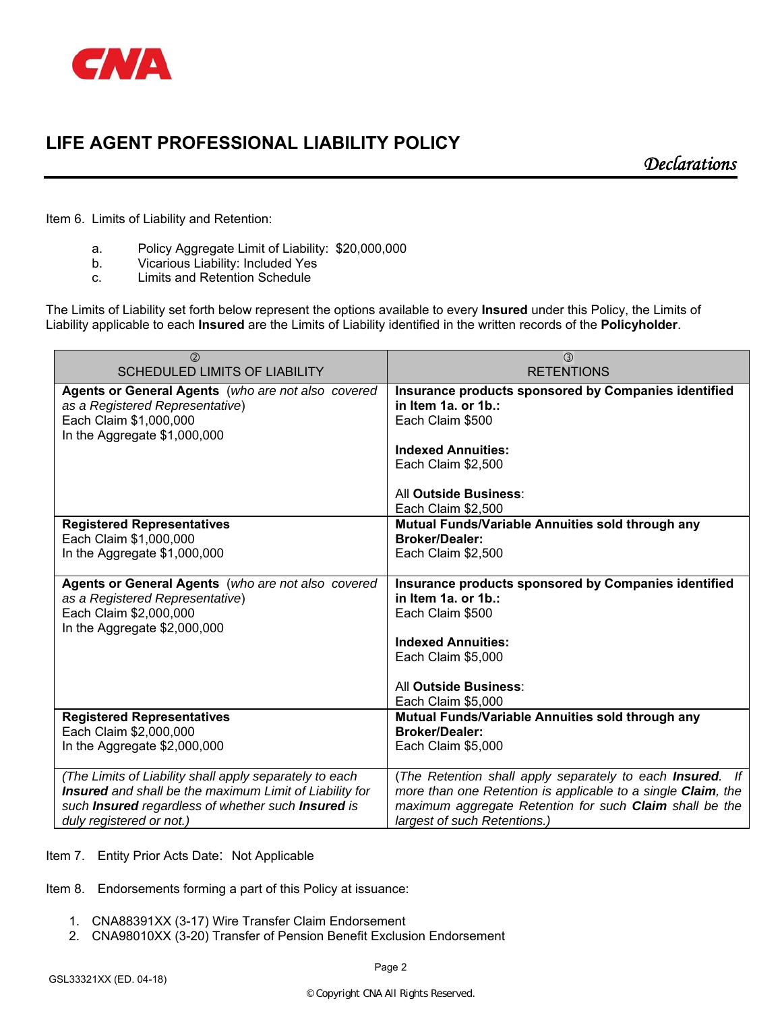

*Declarations* 

Item 6. Limits of Liability and Retention:

- a. Policy Aggregate Limit of Liability: \$20,000,000
- b. Vicarious Liability: Included Yes
- c. Limits and Retention Schedule

The Limits of Liability set forth below represent the options available to every **Insured** under this Policy, the Limits of Liability applicable to each **Insured** are the Limits of Liability identified in the written records of the **Policyholder**.

| (2)                                                                                                                                             | $\circled{3}$                                                                                                                                                               |
|-------------------------------------------------------------------------------------------------------------------------------------------------|-----------------------------------------------------------------------------------------------------------------------------------------------------------------------------|
| <b>SCHEDULED LIMITS OF LIABILITY</b>                                                                                                            | <b>RETENTIONS</b>                                                                                                                                                           |
| Agents or General Agents (who are not also covered<br>as a Registered Representative)<br>Each Claim \$1,000,000<br>In the Aggregate \$1,000,000 | Insurance products sponsored by Companies identified<br>in Item 1a. or 1b.:<br>Each Claim \$500<br><b>Indexed Annuities:</b><br>Each Claim \$2,500<br>All Outside Business: |
|                                                                                                                                                 | Each Claim \$2,500                                                                                                                                                          |
| <b>Registered Representatives</b>                                                                                                               | Mutual Funds/Variable Annuities sold through any                                                                                                                            |
| Each Claim \$1,000,000                                                                                                                          | <b>Broker/Dealer:</b>                                                                                                                                                       |
| In the Aggregate \$1,000,000                                                                                                                    | Each Claim \$2,500                                                                                                                                                          |
| Agents or General Agents (who are not also covered<br>as a Registered Representative)<br>Each Claim \$2,000,000<br>In the Aggregate \$2,000,000 | Insurance products sponsored by Companies identified<br>in Item 1a. or 1b.:<br>Each Claim \$500<br><b>Indexed Annuities:</b><br>Each Claim \$5,000<br>All Outside Business: |
|                                                                                                                                                 | Each Claim \$5,000                                                                                                                                                          |
| <b>Registered Representatives</b>                                                                                                               | Mutual Funds/Variable Annuities sold through any                                                                                                                            |
| Each Claim \$2,000,000                                                                                                                          | <b>Broker/Dealer:</b>                                                                                                                                                       |
| In the Aggregate \$2,000,000                                                                                                                    | Each Claim \$5,000                                                                                                                                                          |
| (The Limits of Liability shall apply separately to each                                                                                         | (The Retention shall apply separately to each Insured. If                                                                                                                   |
| Insured and shall be the maximum Limit of Liability for                                                                                         | more than one Retention is applicable to a single Claim, the                                                                                                                |
| such Insured regardless of whether such Insured is                                                                                              | maximum aggregate Retention for such Claim shall be the                                                                                                                     |
| duly registered or not.)                                                                                                                        | largest of such Retentions.)                                                                                                                                                |

Item 7. Entity Prior Acts Date: Not Applicable

Item 8. Endorsements forming a part of this Policy at issuance:

- 1. CNA88391XX (3-17) Wire Transfer Claim Endorsement
- 2. CNA98010XX (3-20) Transfer of Pension Benefit Exclusion Endorsement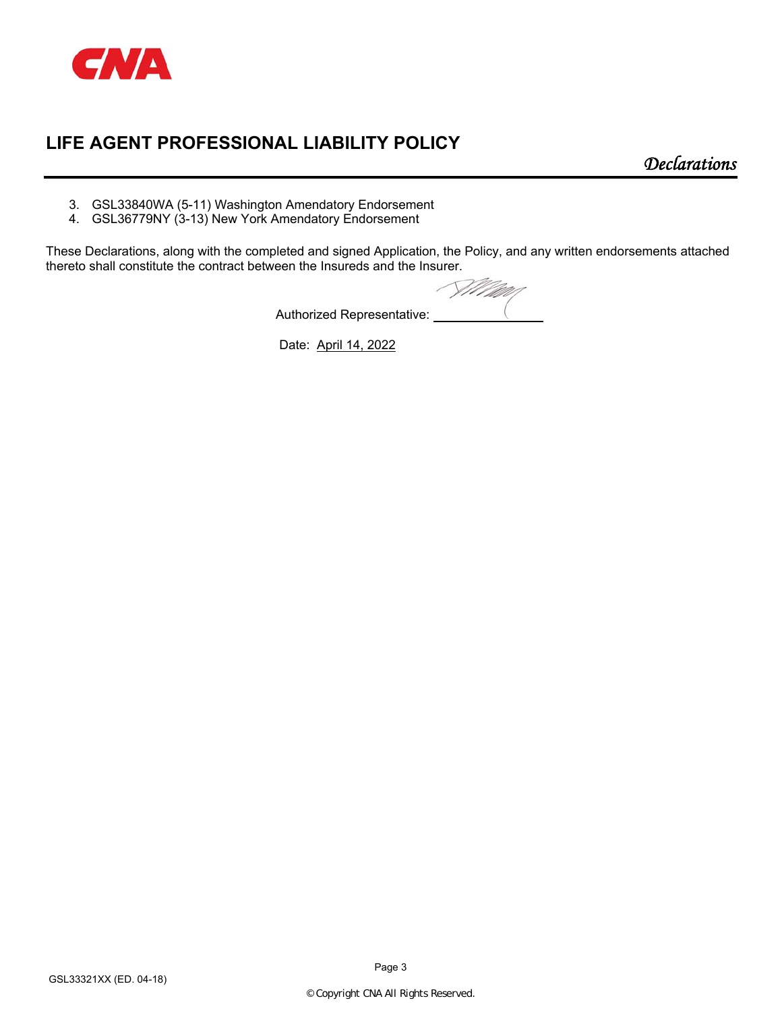

*Declarations* 

- 3. GSL33840WA (5-11) Washington Amendatory Endorsement
- 4. GSL36779NY (3-13) New York Amendatory Endorsement

These Declarations, along with the completed and signed Application, the Policy, and any written endorsements attached thereto shall constitute the contract between the Insureds and the Insurer.

Villagar Authorized Representative:

Date: April 14, 2022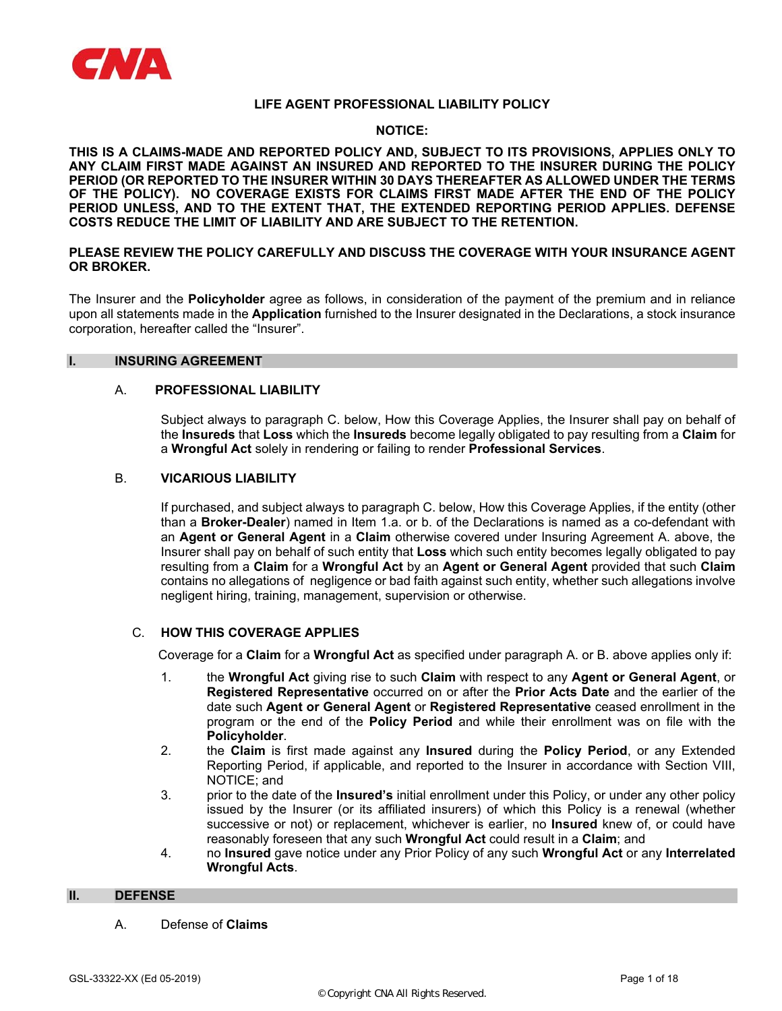

## **NOTICE:**

**THIS IS A CLAIMS-MADE AND REPORTED POLICY AND, SUBJECT TO ITS PROVISIONS, APPLIES ONLY TO ANY CLAIM FIRST MADE AGAINST AN INSURED AND REPORTED TO THE INSURER DURING THE POLICY PERIOD (OR REPORTED TO THE INSURER WITHIN 30 DAYS THEREAFTER AS ALLOWED UNDER THE TERMS OF THE POLICY). NO COVERAGE EXISTS FOR CLAIMS FIRST MADE AFTER THE END OF THE POLICY PERIOD UNLESS, AND TO THE EXTENT THAT, THE EXTENDED REPORTING PERIOD APPLIES. DEFENSE COSTS REDUCE THE LIMIT OF LIABILITY AND ARE SUBJECT TO THE RETENTION.** 

# **PLEASE REVIEW THE POLICY CAREFULLY AND DISCUSS THE COVERAGE WITH YOUR INSURANCE AGENT OR BROKER.**

The Insurer and the **Policyholder** agree as follows, in consideration of the payment of the premium and in reliance upon all statements made in the **Application** furnished to the Insurer designated in the Declarations, a stock insurance corporation, hereafter called the "Insurer".

## **I. INSURING AGREEMENT**

#### A. **PROFESSIONAL LIABILITY**

Subject always to paragraph C. below, How this Coverage Applies, the Insurer shall pay on behalf of the **Insureds** that **Loss** which the **Insureds** become legally obligated to pay resulting from a **Claim** for a **Wrongful Act** solely in rendering or failing to render **Professional Services**.

## B. **VICARIOUS LIABILITY**

If purchased, and subject always to paragraph C. below, How this Coverage Applies, if the entity (other than a **Broker-Dealer**) named in Item 1.a. or b. of the Declarations is named as a co-defendant with an **Agent or General Agent** in a **Claim** otherwise covered under Insuring Agreement A. above, the Insurer shall pay on behalf of such entity that **Loss** which such entity becomes legally obligated to pay resulting from a **Claim** for a **Wrongful Act** by an **Agent or General Agent** provided that such **Claim**  contains no allegations of negligence or bad faith against such entity, whether such allegations involve negligent hiring, training, management, supervision or otherwise.

## C. **HOW THIS COVERAGE APPLIES**

Coverage for a **Claim** for a **Wrongful Act** as specified under paragraph A. or B. above applies only if:

- 1. the **Wrongful Act** giving rise to such **Claim** with respect to any **Agent or General Agent**, or **Registered Representative** occurred on or after the **Prior Acts Date** and the earlier of the date such **Agent or General Agent** or **Registered Representative** ceased enrollment in the program or the end of the **Policy Period** and while their enrollment was on file with the **Policyholder**.
- 2. the **Claim** is first made against any **Insured** during the **Policy Period**, or any Extended Reporting Period, if applicable, and reported to the Insurer in accordance with Section VIII, NOTICE; and
- 3. prior to the date of the **Insured's** initial enrollment under this Policy, or under any other policy issued by the Insurer (or its affiliated insurers) of which this Policy is a renewal (whether successive or not) or replacement, whichever is earlier, no **Insured** knew of, or could have reasonably foreseen that any such **Wrongful Act** could result in a **Claim**; and
- 4. no **Insured** gave notice under any Prior Policy of any such **Wrongful Act** or any **Interrelated Wrongful Acts**.

#### **II. DEFENSE**

A. Defense of **Claims**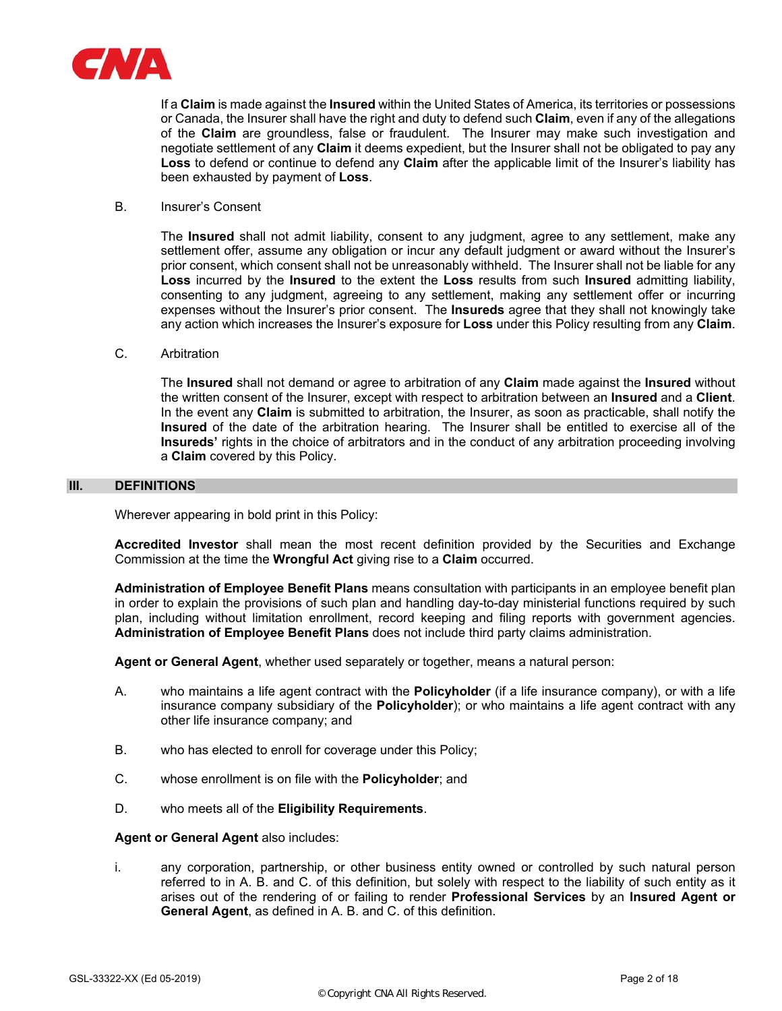

If a **Claim** is made against the **Insured** within the United States of America, its territories or possessions or Canada, the Insurer shall have the right and duty to defend such **Claim**, even if any of the allegations of the **Claim** are groundless, false or fraudulent. The Insurer may make such investigation and negotiate settlement of any **Claim** it deems expedient, but the Insurer shall not be obligated to pay any **Loss** to defend or continue to defend any **Claim** after the applicable limit of the Insurer's liability has been exhausted by payment of **Loss**.

#### B. Insurer's Consent

The **Insured** shall not admit liability, consent to any judgment, agree to any settlement, make any settlement offer, assume any obligation or incur any default judgment or award without the Insurer's prior consent, which consent shall not be unreasonably withheld. The Insurer shall not be liable for any **Loss** incurred by the **Insured** to the extent the **Loss** results from such **Insured** admitting liability, consenting to any judgment, agreeing to any settlement, making any settlement offer or incurring expenses without the Insurer's prior consent. The **Insureds** agree that they shall not knowingly take any action which increases the Insurer's exposure for **Loss** under this Policy resulting from any **Claim**.

#### C. Arbitration

The **Insured** shall not demand or agree to arbitration of any **Claim** made against the **Insured** without the written consent of the Insurer, except with respect to arbitration between an **Insured** and a **Client**. In the event any **Claim** is submitted to arbitration, the Insurer, as soon as practicable, shall notify the **Insured** of the date of the arbitration hearing. The Insurer shall be entitled to exercise all of the **Insureds'** rights in the choice of arbitrators and in the conduct of any arbitration proceeding involving a **Claim** covered by this Policy.

#### **III. DEFINITIONS**

Wherever appearing in bold print in this Policy:

**Accredited Investor** shall mean the most recent definition provided by the Securities and Exchange Commission at the time the **Wrongful Act** giving rise to a **Claim** occurred.

**Administration of Employee Benefit Plans** means consultation with participants in an employee benefit plan in order to explain the provisions of such plan and handling day-to-day ministerial functions required by such plan, including without limitation enrollment, record keeping and filing reports with government agencies. **Administration of Employee Benefit Plans** does not include third party claims administration.

**Agent or General Agent**, whether used separately or together, means a natural person:

- A. who maintains a life agent contract with the **Policyholder** (if a life insurance company), or with a life insurance company subsidiary of the **Policyholder**); or who maintains a life agent contract with any other life insurance company; and
- B. who has elected to enroll for coverage under this Policy;
- C. whose enrollment is on file with the **Policyholder**; and
- D. who meets all of the **Eligibility Requirements**.

#### **Agent or General Agent** also includes:

i. any corporation, partnership, or other business entity owned or controlled by such natural person referred to in A. B. and C. of this definition, but solely with respect to the liability of such entity as it arises out of the rendering of or failing to render **Professional Services** by an **Insured Agent or General Agent**, as defined in A. B. and C. of this definition.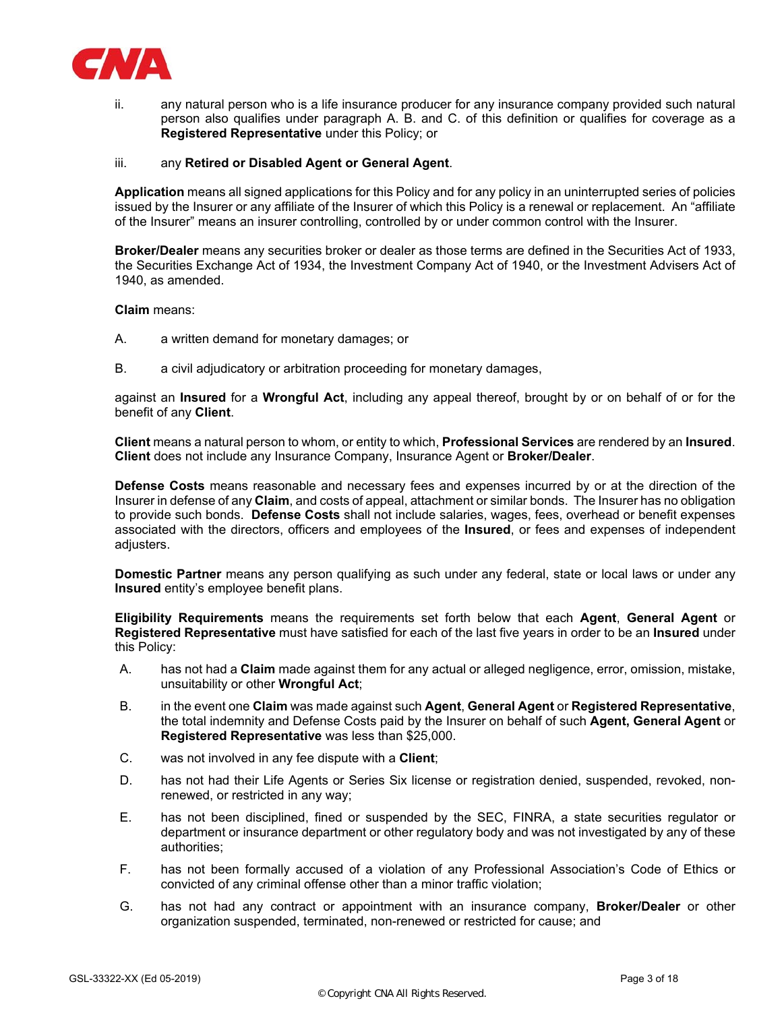

ii. any natural person who is a life insurance producer for any insurance company provided such natural person also qualifies under paragraph A. B. and C. of this definition or qualifies for coverage as a **Registered Representative** under this Policy; or

#### iii. any **Retired or Disabled Agent or General Agent**.

**Application** means all signed applications for this Policy and for any policy in an uninterrupted series of policies issued by the Insurer or any affiliate of the Insurer of which this Policy is a renewal or replacement. An "affiliate of the Insurer" means an insurer controlling, controlled by or under common control with the Insurer.

**Broker/Dealer** means any securities broker or dealer as those terms are defined in the Securities Act of 1933, the Securities Exchange Act of 1934, the Investment Company Act of 1940, or the Investment Advisers Act of 1940, as amended.

**Claim** means:

- A. a written demand for monetary damages; or
- B. a civil adjudicatory or arbitration proceeding for monetary damages,

against an **Insured** for a **Wrongful Act**, including any appeal thereof, brought by or on behalf of or for the benefit of any **Client**.

**Client** means a natural person to whom, or entity to which, **Professional Services** are rendered by an **Insured**. **Client** does not include any Insurance Company, Insurance Agent or **Broker/Dealer**.

**Defense Costs** means reasonable and necessary fees and expenses incurred by or at the direction of the Insurer in defense of any **Claim**, and costs of appeal, attachment or similar bonds. The Insurer has no obligation to provide such bonds. **Defense Costs** shall not include salaries, wages, fees, overhead or benefit expenses associated with the directors, officers and employees of the **Insured**, or fees and expenses of independent adjusters.

**Domestic Partner** means any person qualifying as such under any federal, state or local laws or under any **Insured** entity's employee benefit plans.

**Eligibility Requirements** means the requirements set forth below that each **Agent**, **General Agent** or **Registered Representative** must have satisfied for each of the last five years in order to be an **Insured** under this Policy:

- A. has not had a **Claim** made against them for any actual or alleged negligence, error, omission, mistake, unsuitability or other **Wrongful Act**;
- B. in the event one **Claim** was made against such **Agent**, **General Agent** or **Registered Representative**, the total indemnity and Defense Costs paid by the Insurer on behalf of such **Agent, General Agent** or **Registered Representative** was less than \$25,000.
- C. was not involved in any fee dispute with a **Client**;
- D. has not had their Life Agents or Series Six license or registration denied, suspended, revoked, nonrenewed, or restricted in any way;
- E. has not been disciplined, fined or suspended by the SEC, FINRA, a state securities regulator or department or insurance department or other regulatory body and was not investigated by any of these authorities;
- F. has not been formally accused of a violation of any Professional Association's Code of Ethics or convicted of any criminal offense other than a minor traffic violation;
- G. has not had any contract or appointment with an insurance company, **Broker/Dealer** or other organization suspended, terminated, non-renewed or restricted for cause; and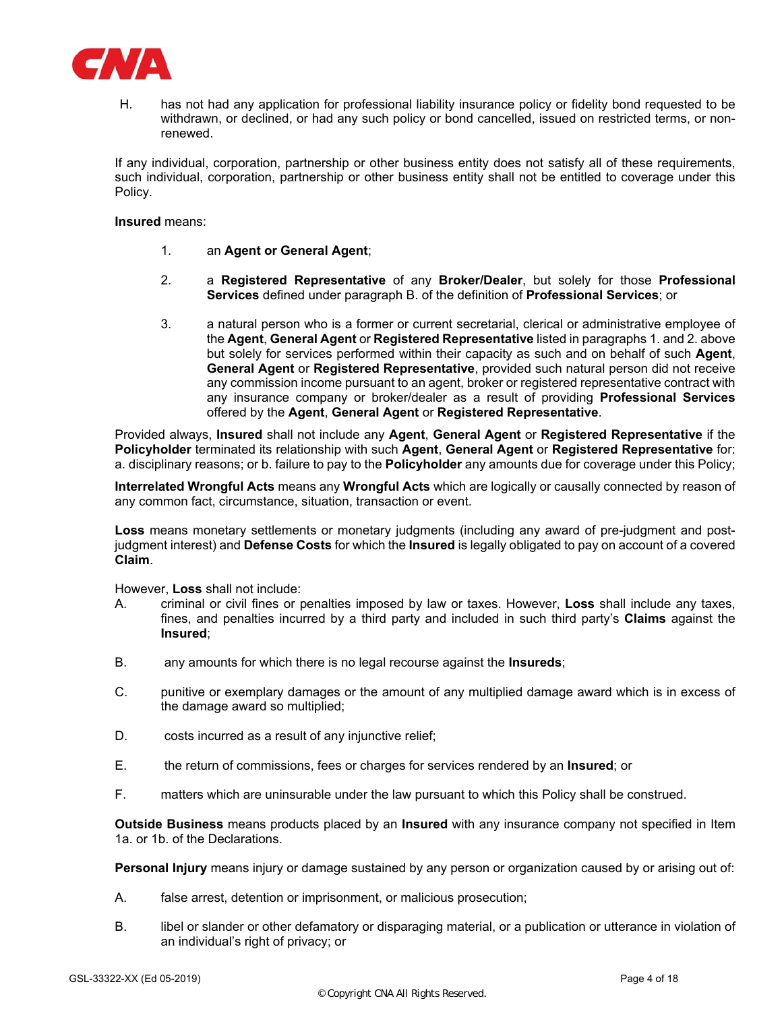

H. has not had any application for professional liability insurance policy or fidelity bond requested to be withdrawn, or declined, or had any such policy or bond cancelled, issued on restricted terms, or nonrenewed.

If any individual, corporation, partnership or other business entity does not satisfy all of these requirements, such individual, corporation, partnership or other business entity shall not be entitled to coverage under this Policy.

**Insured** means:

- 1. an **Agent or General Agent**;
- 2. a **Registered Representative** of any **Broker/Dealer**, but solely for those **Professional Services** defined under paragraph B. of the definition of **Professional Services**; or
- 3. a natural person who is a former or current secretarial, clerical or administrative employee of the **Agent**, **General Agent** or **Registered Representative** listed in paragraphs 1. and 2. above but solely for services performed within their capacity as such and on behalf of such **Agent**, **General Agent** or **Registered Representative**, provided such natural person did not receive any commission income pursuant to an agent, broker or registered representative contract with any insurance company or broker/dealer as a result of providing **Professional Services** offered by the **Agent**, **General Agent** or **Registered Representative**.

Provided always, **Insured** shall not include any **Agent**, **General Agent** or **Registered Representative** if the **Policyholder** terminated its relationship with such **Agent**, **General Agent** or **Registered Representative** for: a. disciplinary reasons; or b. failure to pay to the **Policyholder** any amounts due for coverage under this Policy;

**Interrelated Wrongful Acts** means any **Wrongful Acts** which are logically or causally connected by reason of any common fact, circumstance, situation, transaction or event.

**Loss** means monetary settlements or monetary judgments (including any award of pre-judgment and postjudgment interest) and **Defense Costs** for which the **Insured** is legally obligated to pay on account of a covered **Claim**.

However, **Loss** shall not include:

- A. criminal or civil fines or penalties imposed by law or taxes. However, **Loss** shall include any taxes, fines, and penalties incurred by a third party and included in such third party's **Claims** against the **Insured**;
- B. any amounts for which there is no legal recourse against the **Insureds**;
- C. punitive or exemplary damages or the amount of any multiplied damage award which is in excess of the damage award so multiplied;
- D. costs incurred as a result of any injunctive relief;
- E. the return of commissions, fees or charges for services rendered by an **Insured**; or
- F. matters which are uninsurable under the law pursuant to which this Policy shall be construed.

**Outside Business** means products placed by an **Insured** with any insurance company not specified in Item 1a. or 1b. of the Declarations.

**Personal Injury** means injury or damage sustained by any person or organization caused by or arising out of:

- A. false arrest, detention or imprisonment, or malicious prosecution;
- B. libel or slander or other defamatory or disparaging material, or a publication or utterance in violation of an individual's right of privacy; or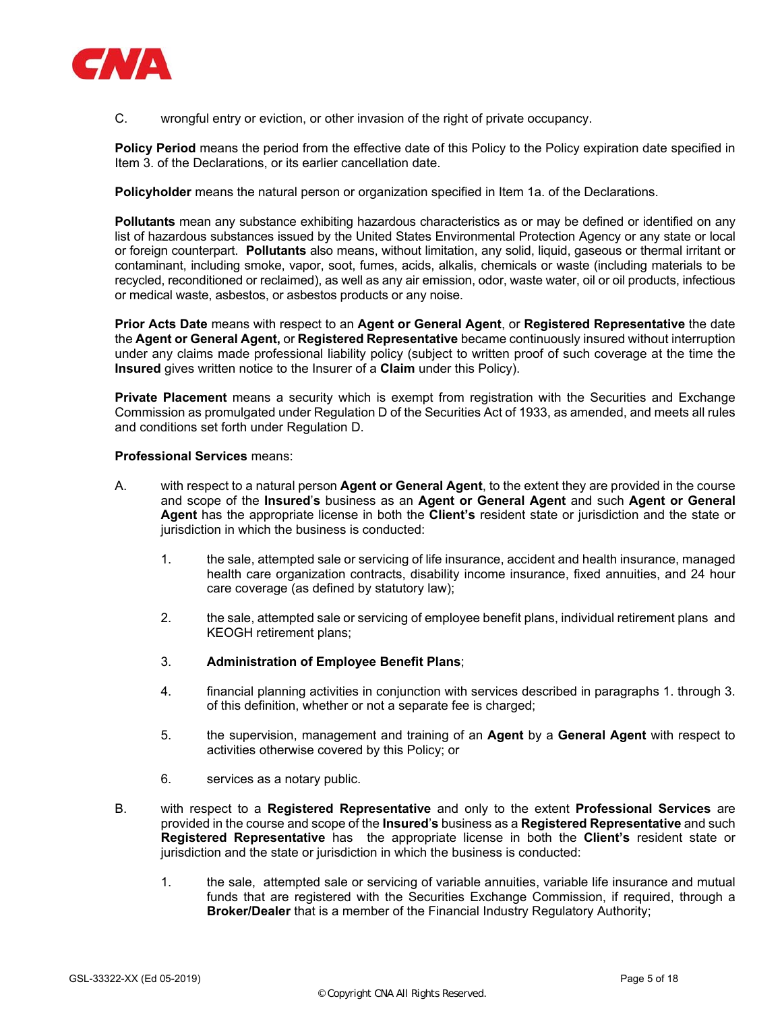

C. wrongful entry or eviction, or other invasion of the right of private occupancy.

**Policy Period** means the period from the effective date of this Policy to the Policy expiration date specified in Item 3. of the Declarations, or its earlier cancellation date.

**Policyholder** means the natural person or organization specified in Item 1a. of the Declarations.

**Pollutants** mean any substance exhibiting hazardous characteristics as or may be defined or identified on any list of hazardous substances issued by the United States Environmental Protection Agency or any state or local or foreign counterpart. **Pollutants** also means, without limitation, any solid, liquid, gaseous or thermal irritant or contaminant, including smoke, vapor, soot, fumes, acids, alkalis, chemicals or waste (including materials to be recycled, reconditioned or reclaimed), as well as any air emission, odor, waste water, oil or oil products, infectious or medical waste, asbestos, or asbestos products or any noise.

**Prior Acts Date** means with respect to an **Agent or General Agent**, or **Registered Representative** the date the **Agent or General Agent,** or **Registered Representative** became continuously insured without interruption under any claims made professional liability policy (subject to written proof of such coverage at the time the **Insured** gives written notice to the Insurer of a **Claim** under this Policy).

**Private Placement** means a security which is exempt from registration with the Securities and Exchange Commission as promulgated under Regulation D of the Securities Act of 1933, as amended, and meets all rules and conditions set forth under Regulation D.

## **Professional Services** means:

- A. with respect to a natural person **Agent or General Agent**, to the extent they are provided in the course and scope of the **Insured**'**s** business as an **Agent or General Agent** and such **Agent or General Agent** has the appropriate license in both the **Client's** resident state or jurisdiction and the state or jurisdiction in which the business is conducted:
	- 1. the sale, attempted sale or servicing of life insurance, accident and health insurance, managed health care organization contracts, disability income insurance, fixed annuities, and 24 hour care coverage (as defined by statutory law);
	- 2. the sale, attempted sale or servicing of employee benefit plans, individual retirement plans and KEOGH retirement plans;
	- 3. **Administration of Employee Benefit Plans**;
	- 4. financial planning activities in conjunction with services described in paragraphs 1. through 3. of this definition, whether or not a separate fee is charged;
	- 5. the supervision, management and training of an **Agent** by a **General Agent** with respect to activities otherwise covered by this Policy; or
	- 6. services as a notary public.
- B. with respect to a **Registered Representative** and only to the extent **Professional Services** are provided in the course and scope of the **Insured**'**s** business as a **Registered Representative** and such **Registered Representative** has the appropriate license in both the **Client's** resident state or jurisdiction and the state or jurisdiction in which the business is conducted:
	- 1. the sale, attempted sale or servicing of variable annuities, variable life insurance and mutual funds that are registered with the Securities Exchange Commission, if required, through a **Broker/Dealer** that is a member of the Financial Industry Regulatory Authority;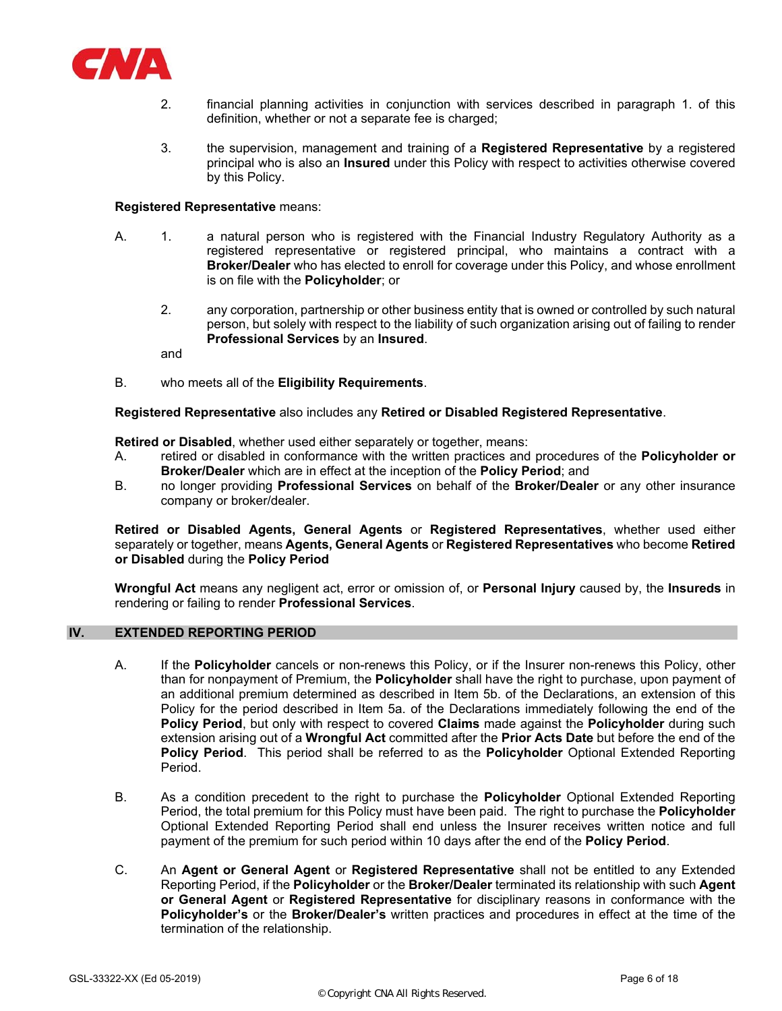

- 2. financial planning activities in conjunction with services described in paragraph 1. of this definition, whether or not a separate fee is charged;
- 3. the supervision, management and training of a **Registered Representative** by a registered principal who is also an **Insured** under this Policy with respect to activities otherwise covered by this Policy.

#### **Registered Representative** means:

- A. 1. a natural person who is registered with the Financial Industry Regulatory Authority as a registered representative or registered principal, who maintains a contract with a **Broker/Dealer** who has elected to enroll for coverage under this Policy, and whose enrollment is on file with the **Policyholder**; or
	- 2. any corporation, partnership or other business entity that is owned or controlled by such natural person, but solely with respect to the liability of such organization arising out of failing to render **Professional Services** by an **Insured**.

and

B. who meets all of the **Eligibility Requirements**.

#### **Registered Representative** also includes any **Retired or Disabled Registered Representative**.

**Retired or Disabled**, whether used either separately or together, means:

- A. retired or disabled in conformance with the written practices and procedures of the **Policyholder or Broker/Dealer** which are in effect at the inception of the **Policy Period**; and
- B. no longer providing **Professional Services** on behalf of the **Broker/Dealer** or any other insurance company or broker/dealer.

**Retired or Disabled Agents, General Agents** or **Registered Representatives**, whether used either separately or together, means **Agents, General Agents** or **Registered Representatives** who become **Retired or Disabled** during the **Policy Period** 

**Wrongful Act** means any negligent act, error or omission of, or **Personal Injury** caused by, the **Insureds** in rendering or failing to render **Professional Services**.

# **IV. EXTENDED REPORTING PERIOD**

- A. If the **Policyholder** cancels or non-renews this Policy, or if the Insurer non-renews this Policy, other than for nonpayment of Premium, the **Policyholder** shall have the right to purchase, upon payment of an additional premium determined as described in Item 5b. of the Declarations, an extension of this Policy for the period described in Item 5a. of the Declarations immediately following the end of the **Policy Period**, but only with respect to covered **Claims** made against the **Policyholder** during such extension arising out of a **Wrongful Act** committed after the **Prior Acts Date** but before the end of the **Policy Period**. This period shall be referred to as the **Policyholder** Optional Extended Reporting Period.
- B. As a condition precedent to the right to purchase the **Policyholder** Optional Extended Reporting Period, the total premium for this Policy must have been paid. The right to purchase the **Policyholder** Optional Extended Reporting Period shall end unless the Insurer receives written notice and full payment of the premium for such period within 10 days after the end of the **Policy Period**.
- C. An **Agent or General Agent** or **Registered Representative** shall not be entitled to any Extended Reporting Period, if the **Policyholder** or the **Broker/Dealer** terminated its relationship with such **Agent or General Agent** or **Registered Representative** for disciplinary reasons in conformance with the **Policyholder's** or the **Broker/Dealer's** written practices and procedures in effect at the time of the termination of the relationship.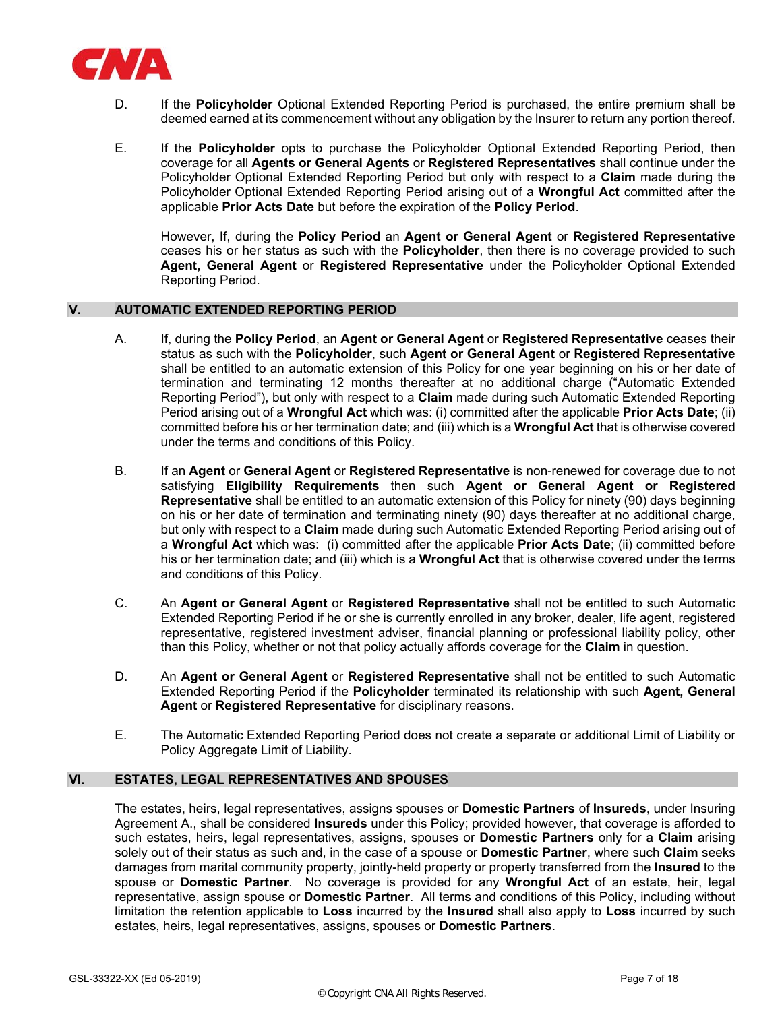

- D. If the **Policyholder** Optional Extended Reporting Period is purchased, the entire premium shall be deemed earned at its commencement without any obligation by the Insurer to return any portion thereof.
- E. If the **Policyholder** opts to purchase the Policyholder Optional Extended Reporting Period, then coverage for all **Agents or General Agents** or **Registered Representatives** shall continue under the Policyholder Optional Extended Reporting Period but only with respect to a **Claim** made during the Policyholder Optional Extended Reporting Period arising out of a **Wrongful Act** committed after the applicable **Prior Acts Date** but before the expiration of the **Policy Period**.

However, If, during the **Policy Period** an **Agent or General Agent** or **Registered Representative** ceases his or her status as such with the **Policyholder**, then there is no coverage provided to such **Agent, General Agent** or **Registered Representative** under the Policyholder Optional Extended Reporting Period.

## **V. AUTOMATIC EXTENDED REPORTING PERIOD**

- A. If, during the **Policy Period**, an **Agent or General Agent** or **Registered Representative** ceases their status as such with the **Policyholder**, such **Agent or General Agent** or **Registered Representative** shall be entitled to an automatic extension of this Policy for one year beginning on his or her date of termination and terminating 12 months thereafter at no additional charge ("Automatic Extended Reporting Period"), but only with respect to a **Claim** made during such Automatic Extended Reporting Period arising out of a **Wrongful Act** which was: (i) committed after the applicable **Prior Acts Date**; (ii) committed before his or her termination date; and (iii) which is a **Wrongful Act** that is otherwise covered under the terms and conditions of this Policy.
- B. If an **Agent** or **General Agent** or **Registered Representative** is non-renewed for coverage due to not satisfying **Eligibility Requirements** then such **Agent or General Agent or Registered Representative** shall be entitled to an automatic extension of this Policy for ninety (90) days beginning on his or her date of termination and terminating ninety (90) days thereafter at no additional charge, but only with respect to a **Claim** made during such Automatic Extended Reporting Period arising out of a **Wrongful Act** which was: (i) committed after the applicable **Prior Acts Date**; (ii) committed before his or her termination date; and (iii) which is a **Wrongful Act** that is otherwise covered under the terms and conditions of this Policy.
- C. An **Agent or General Agent** or **Registered Representative** shall not be entitled to such Automatic Extended Reporting Period if he or she is currently enrolled in any broker, dealer, life agent, registered representative, registered investment adviser, financial planning or professional liability policy, other than this Policy, whether or not that policy actually affords coverage for the **Claim** in question.
- D. An **Agent or General Agent** or **Registered Representative** shall not be entitled to such Automatic Extended Reporting Period if the **Policyholder** terminated its relationship with such **Agent, General Agent** or **Registered Representative** for disciplinary reasons.
- E. The Automatic Extended Reporting Period does not create a separate or additional Limit of Liability or Policy Aggregate Limit of Liability.

# **VI. ESTATES, LEGAL REPRESENTATIVES AND SPOUSES**

The estates, heirs, legal representatives, assigns spouses or **Domestic Partners** of **Insureds**, under Insuring Agreement A., shall be considered **Insureds** under this Policy; provided however, that coverage is afforded to such estates, heirs, legal representatives, assigns, spouses or **Domestic Partners** only for a **Claim** arising solely out of their status as such and, in the case of a spouse or **Domestic Partner**, where such **Claim** seeks damages from marital community property, jointly-held property or property transferred from the **Insured** to the spouse or **Domestic Partner**. No coverage is provided for any **Wrongful Act** of an estate, heir, legal representative, assign spouse or **Domestic Partner**. All terms and conditions of this Policy, including without limitation the retention applicable to **Loss** incurred by the **Insured** shall also apply to **Loss** incurred by such estates, heirs, legal representatives, assigns, spouses or **Domestic Partners**.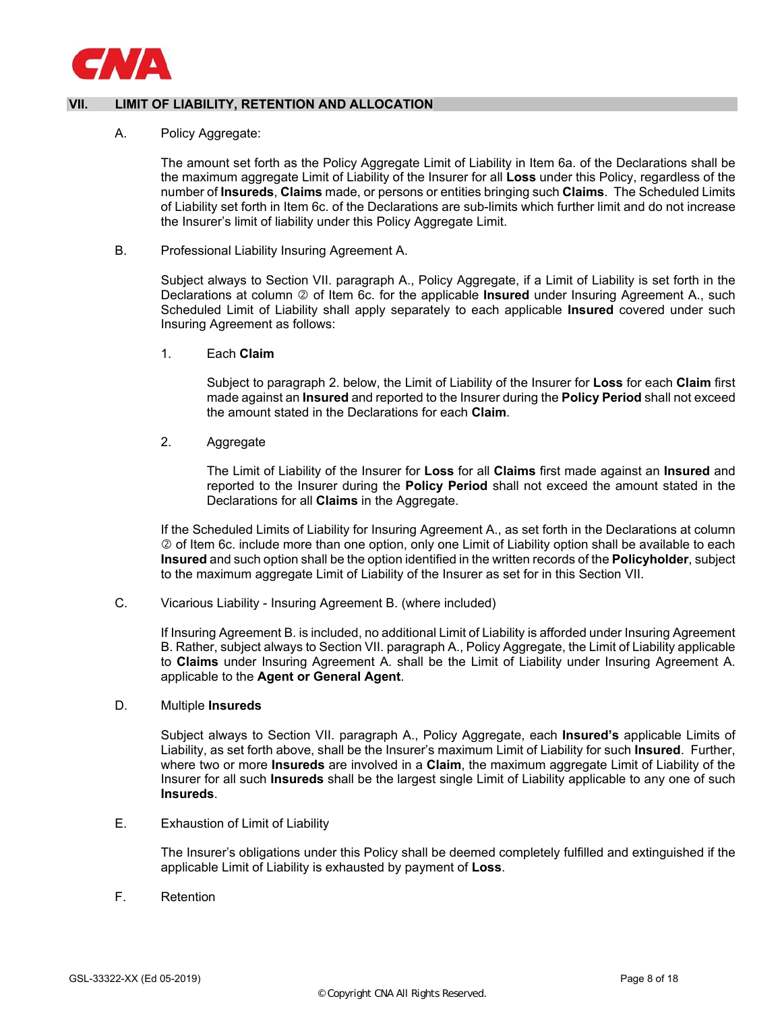

# **VII. LIMIT OF LIABILITY, RETENTION AND ALLOCATION**

## A. Policy Aggregate:

The amount set forth as the Policy Aggregate Limit of Liability in Item 6a. of the Declarations shall be the maximum aggregate Limit of Liability of the Insurer for all **Loss** under this Policy, regardless of the number of **Insureds**, **Claims** made, or persons or entities bringing such **Claims**. The Scheduled Limits of Liability set forth in Item 6c. of the Declarations are sub-limits which further limit and do not increase the Insurer's limit of liability under this Policy Aggregate Limit.

#### B. Professional Liability Insuring Agreement A.

Subject always to Section VII. paragraph A., Policy Aggregate, if a Limit of Liability is set forth in the Declarations at column  $\oslash$  of Item 6c. for the applicable **Insured** under Insuring Agreement A., such Scheduled Limit of Liability shall apply separately to each applicable **Insured** covered under such Insuring Agreement as follows:

1. Each **Claim** 

Subject to paragraph 2. below, the Limit of Liability of the Insurer for **Loss** for each **Claim** first made against an **Insured** and reported to the Insurer during the **Policy Period** shall not exceed the amount stated in the Declarations for each **Claim**.

2. Aggregate

The Limit of Liability of the Insurer for **Loss** for all **Claims** first made against an **Insured** and reported to the Insurer during the **Policy Period** shall not exceed the amount stated in the Declarations for all **Claims** in the Aggregate.

If the Scheduled Limits of Liability for Insuring Agreement A., as set forth in the Declarations at column  $\oslash$  of Item 6c. include more than one option, only one Limit of Liability option shall be available to each **Insured** and such option shall be the option identified in the written records of the **Policyholder**, subject to the maximum aggregate Limit of Liability of the Insurer as set for in this Section VII.

C. Vicarious Liability - Insuring Agreement B. (where included)

If Insuring Agreement B. is included, no additional Limit of Liability is afforded under Insuring Agreement B. Rather, subject always to Section VII. paragraph A., Policy Aggregate, the Limit of Liability applicable to **Claims** under Insuring Agreement A. shall be the Limit of Liability under Insuring Agreement A. applicable to the **Agent or General Agent**.

## D. Multiple **Insureds**

Subject always to Section VII. paragraph A., Policy Aggregate, each **Insured's** applicable Limits of Liability, as set forth above, shall be the Insurer's maximum Limit of Liability for such **Insured**. Further, where two or more **Insureds** are involved in a **Claim**, the maximum aggregate Limit of Liability of the Insurer for all such **Insureds** shall be the largest single Limit of Liability applicable to any one of such **Insureds**.

E. Exhaustion of Limit of Liability

The Insurer's obligations under this Policy shall be deemed completely fulfilled and extinguished if the applicable Limit of Liability is exhausted by payment of **Loss**.

F. Retention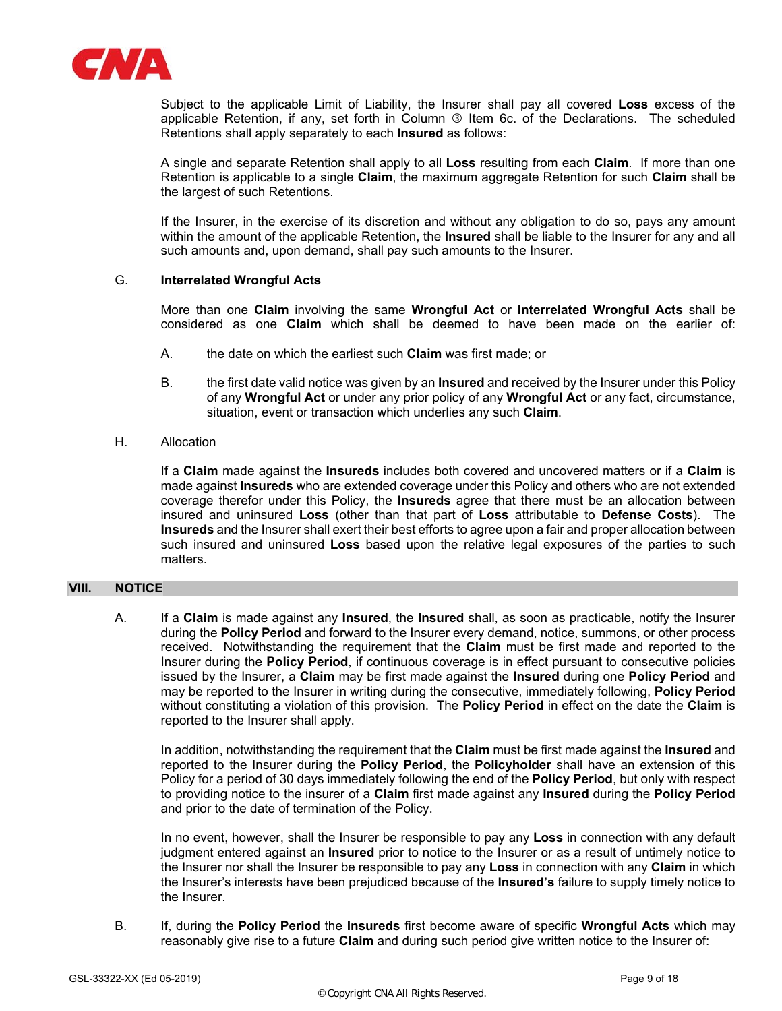

Subject to the applicable Limit of Liability, the Insurer shall pay all covered **Loss** excess of the applicable Retention, if any, set forth in Column 3 Item 6c. of the Declarations. The scheduled Retentions shall apply separately to each **Insured** as follows:

A single and separate Retention shall apply to all **Loss** resulting from each **Claim**. If more than one Retention is applicable to a single **Claim**, the maximum aggregate Retention for such **Claim** shall be the largest of such Retentions.

If the Insurer, in the exercise of its discretion and without any obligation to do so, pays any amount within the amount of the applicable Retention, the **Insured** shall be liable to the Insurer for any and all such amounts and, upon demand, shall pay such amounts to the Insurer.

## G. **Interrelated Wrongful Acts**

More than one **Claim** involving the same **Wrongful Act** or **Interrelated Wrongful Acts** shall be considered as one **Claim** which shall be deemed to have been made on the earlier of:

- A. the date on which the earliest such **Claim** was first made; or
- B. the first date valid notice was given by an **Insured** and received by the Insurer under this Policy of any **Wrongful Act** or under any prior policy of any **Wrongful Act** or any fact, circumstance, situation, event or transaction which underlies any such **Claim**.

## H. Allocation

If a **Claim** made against the **Insureds** includes both covered and uncovered matters or if a **Claim** is made against **Insureds** who are extended coverage under this Policy and others who are not extended coverage therefor under this Policy, the **Insureds** agree that there must be an allocation between insured and uninsured **Loss** (other than that part of **Loss** attributable to **Defense Costs**). The **Insureds** and the Insurer shall exert their best efforts to agree upon a fair and proper allocation between such insured and uninsured **Loss** based upon the relative legal exposures of the parties to such matters.

## **VIII. NOTICE**

A. If a **Claim** is made against any **Insured**, the **Insured** shall, as soon as practicable, notify the Insurer during the **Policy Period** and forward to the Insurer every demand, notice, summons, or other process received. Notwithstanding the requirement that the **Claim** must be first made and reported to the Insurer during the **Policy Period**, if continuous coverage is in effect pursuant to consecutive policies issued by the Insurer, a **Claim** may be first made against the **Insured** during one **Policy Period** and may be reported to the Insurer in writing during the consecutive, immediately following, **Policy Period** without constituting a violation of this provision. The **Policy Period** in effect on the date the **Claim** is reported to the Insurer shall apply.

In addition, notwithstanding the requirement that the **Claim** must be first made against the **Insured** and reported to the Insurer during the **Policy Period**, the **Policyholder** shall have an extension of this Policy for a period of 30 days immediately following the end of the **Policy Period**, but only with respect to providing notice to the insurer of a **Claim** first made against any **Insured** during the **Policy Period** and prior to the date of termination of the Policy.

In no event, however, shall the Insurer be responsible to pay any **Loss** in connection with any default judgment entered against an **Insured** prior to notice to the Insurer or as a result of untimely notice to the Insurer nor shall the Insurer be responsible to pay any **Loss** in connection with any **Claim** in which the Insurer's interests have been prejudiced because of the **Insured's** failure to supply timely notice to the Insurer.

B. If, during the **Policy Period** the **Insureds** first become aware of specific **Wrongful Acts** which may reasonably give rise to a future **Claim** and during such period give written notice to the Insurer of: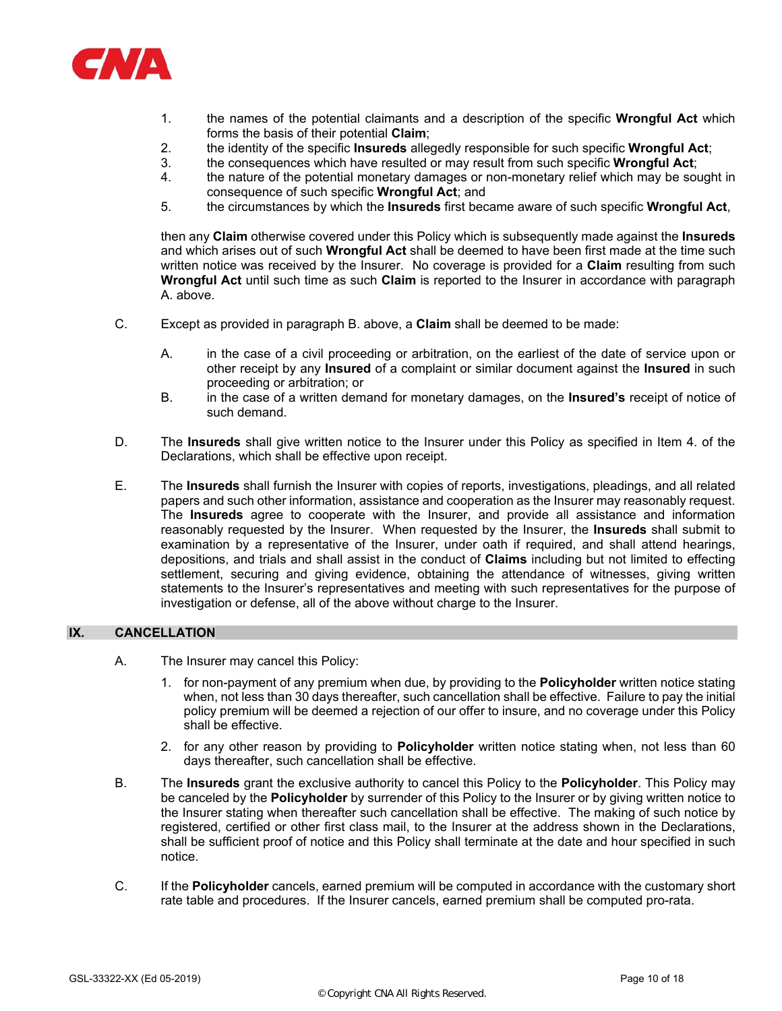

- 1. the names of the potential claimants and a description of the specific **Wrongful Act** which forms the basis of their potential **Claim**;
- 2. the identity of the specific **Insureds** allegedly responsible for such specific **Wrongful Act**;
- 3. the consequences which have resulted or may result from such specific **Wrongful Act**;
- 4. the nature of the potential monetary damages or non-monetary relief which may be sought in consequence of such specific **Wrongful Act**; and
- 5. the circumstances by which the **Insureds** first became aware of such specific **Wrongful Act**,

then any **Claim** otherwise covered under this Policy which is subsequently made against the **Insureds** and which arises out of such **Wrongful Act** shall be deemed to have been first made at the time such written notice was received by the Insurer. No coverage is provided for a **Claim** resulting from such **Wrongful Act** until such time as such **Claim** is reported to the Insurer in accordance with paragraph A. above.

- C. Except as provided in paragraph B. above, a **Claim** shall be deemed to be made:
	- A. in the case of a civil proceeding or arbitration, on the earliest of the date of service upon or other receipt by any **Insured** of a complaint or similar document against the **Insured** in such proceeding or arbitration; or
	- B. in the case of a written demand for monetary damages, on the **Insured's** receipt of notice of such demand.
- D. The **Insureds** shall give written notice to the Insurer under this Policy as specified in Item 4. of the Declarations, which shall be effective upon receipt.
- E. The **Insureds** shall furnish the Insurer with copies of reports, investigations, pleadings, and all related papers and such other information, assistance and cooperation as the Insurer may reasonably request. The **Insureds** agree to cooperate with the Insurer, and provide all assistance and information reasonably requested by the Insurer. When requested by the Insurer, the **Insureds** shall submit to examination by a representative of the Insurer, under oath if required, and shall attend hearings, depositions, and trials and shall assist in the conduct of **Claims** including but not limited to effecting settlement, securing and giving evidence, obtaining the attendance of witnesses, giving written statements to the Insurer's representatives and meeting with such representatives for the purpose of investigation or defense, all of the above without charge to the Insurer.

## **IX. CANCELLATION**

- A. The Insurer may cancel this Policy:
	- 1. for non-payment of any premium when due, by providing to the **Policyholder** written notice stating when, not less than 30 days thereafter, such cancellation shall be effective. Failure to pay the initial policy premium will be deemed a rejection of our offer to insure, and no coverage under this Policy shall be effective.
	- 2. for any other reason by providing to **Policyholder** written notice stating when, not less than 60 days thereafter, such cancellation shall be effective.
- B. The **Insureds** grant the exclusive authority to cancel this Policy to the **Policyholder**. This Policy may be canceled by the **Policyholder** by surrender of this Policy to the Insurer or by giving written notice to the Insurer stating when thereafter such cancellation shall be effective. The making of such notice by registered, certified or other first class mail, to the Insurer at the address shown in the Declarations, shall be sufficient proof of notice and this Policy shall terminate at the date and hour specified in such notice.
- C. If the **Policyholder** cancels, earned premium will be computed in accordance with the customary short rate table and procedures. If the Insurer cancels, earned premium shall be computed pro-rata.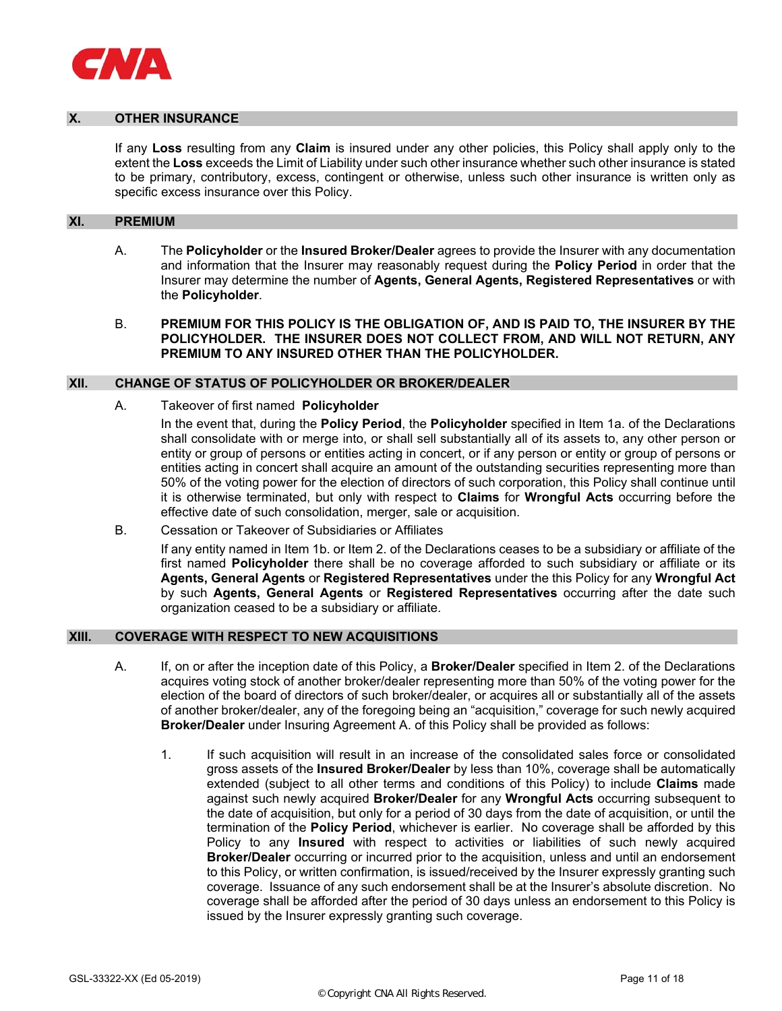

## **OTHER INSURANCE**

If any **Loss** resulting from any **Claim** is insured under any other policies, this Policy shall apply only to the extent the **Loss** exceeds the Limit of Liability under such other insurance whether such other insurance is stated to be primary, contributory, excess, contingent or otherwise, unless such other insurance is written only as specific excess insurance over this Policy.

#### **XI. PREMIUM**

- A. The **Policyholder** or the **Insured Broker/Dealer** agrees to provide the Insurer with any documentation and information that the Insurer may reasonably request during the **Policy Period** in order that the Insurer may determine the number of **Agents, General Agents, Registered Representatives** or with the **Policyholder**.
- B. **PREMIUM FOR THIS POLICY IS THE OBLIGATION OF, AND IS PAID TO, THE INSURER BY THE POLICYHOLDER. THE INSURER DOES NOT COLLECT FROM, AND WILL NOT RETURN, ANY PREMIUM TO ANY INSURED OTHER THAN THE POLICYHOLDER.**

# **XII. CHANGE OF STATUS OF POLICYHOLDER OR BROKER/DEALER**

A. Takeover of first named **Policyholder**

In the event that, during the **Policy Period**, the **Policyholder** specified in Item 1a. of the Declarations shall consolidate with or merge into, or shall sell substantially all of its assets to, any other person or entity or group of persons or entities acting in concert, or if any person or entity or group of persons or entities acting in concert shall acquire an amount of the outstanding securities representing more than 50% of the voting power for the election of directors of such corporation, this Policy shall continue until it is otherwise terminated, but only with respect to **Claims** for **Wrongful Acts** occurring before the effective date of such consolidation, merger, sale or acquisition.

B. Cessation or Takeover of Subsidiaries or Affiliates

 If any entity named in Item 1b. or Item 2. of the Declarations ceases to be a subsidiary or affiliate of the first named **Policyholder** there shall be no coverage afforded to such subsidiary or affiliate or its **Agents, General Agents** or **Registered Representatives** under the this Policy for any **Wrongful Act**  by such **Agents, General Agents** or **Registered Representatives** occurring after the date such organization ceased to be a subsidiary or affiliate.

#### **XIII. COVERAGE WITH RESPECT TO NEW ACQUISITIONS**

- A. If, on or after the inception date of this Policy, a **Broker/Dealer** specified in Item 2. of the Declarations acquires voting stock of another broker/dealer representing more than 50% of the voting power for the election of the board of directors of such broker/dealer, or acquires all or substantially all of the assets of another broker/dealer, any of the foregoing being an "acquisition," coverage for such newly acquired **Broker/Dealer** under Insuring Agreement A. of this Policy shall be provided as follows:
	- 1. If such acquisition will result in an increase of the consolidated sales force or consolidated gross assets of the **Insured Broker/Dealer** by less than 10%, coverage shall be automatically extended (subject to all other terms and conditions of this Policy) to include **Claims** made against such newly acquired **Broker/Dealer** for any **Wrongful Acts** occurring subsequent to the date of acquisition, but only for a period of 30 days from the date of acquisition, or until the termination of the **Policy Period**, whichever is earlier. No coverage shall be afforded by this Policy to any **Insured** with respect to activities or liabilities of such newly acquired **Broker/Dealer** occurring or incurred prior to the acquisition, unless and until an endorsement to this Policy, or written confirmation, is issued/received by the Insurer expressly granting such coverage. Issuance of any such endorsement shall be at the Insurer's absolute discretion. No coverage shall be afforded after the period of 30 days unless an endorsement to this Policy is issued by the Insurer expressly granting such coverage.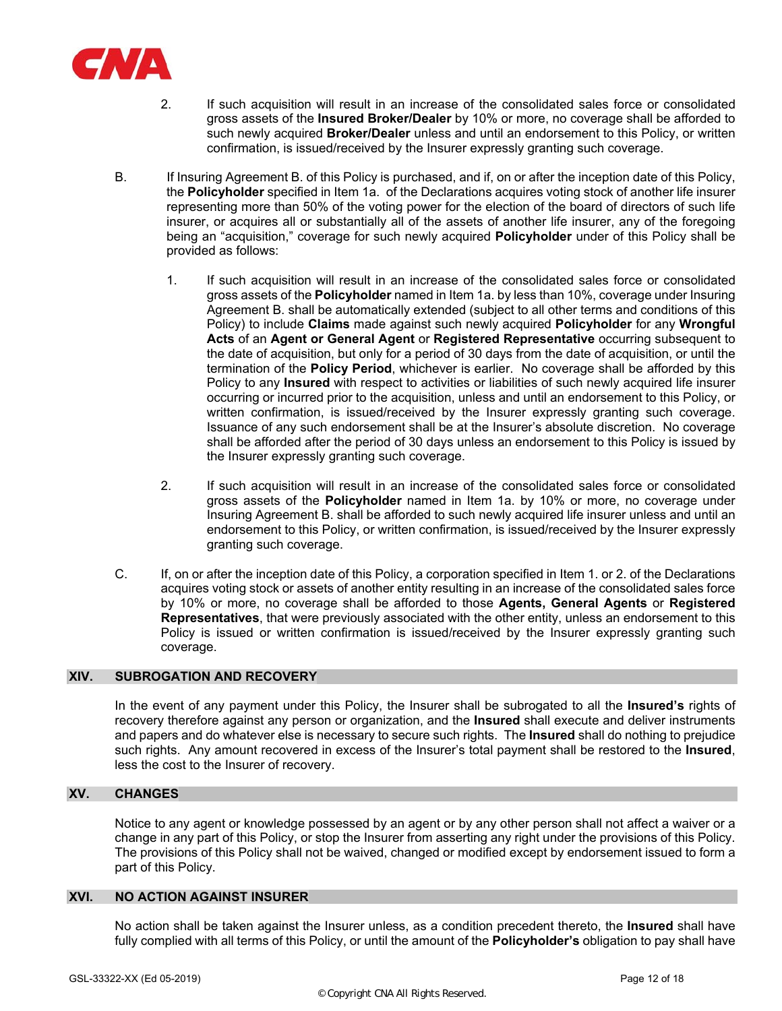

- 2. If such acquisition will result in an increase of the consolidated sales force or consolidated gross assets of the **Insured Broker/Dealer** by 10% or more, no coverage shall be afforded to such newly acquired **Broker/Dealer** unless and until an endorsement to this Policy, or written confirmation, is issued/received by the Insurer expressly granting such coverage.
- B. If Insuring Agreement B. of this Policy is purchased, and if, on or after the inception date of this Policy, the **Policyholder** specified in Item 1a. of the Declarations acquires voting stock of another life insurer representing more than 50% of the voting power for the election of the board of directors of such life insurer, or acquires all or substantially all of the assets of another life insurer, any of the foregoing being an "acquisition," coverage for such newly acquired **Policyholder** under of this Policy shall be provided as follows:
	- 1. If such acquisition will result in an increase of the consolidated sales force or consolidated gross assets of the **Policyholder** named in Item 1a. by less than 10%, coverage under Insuring Agreement B. shall be automatically extended (subject to all other terms and conditions of this Policy) to include **Claims** made against such newly acquired **Policyholder** for any **Wrongful Acts** of an **Agent or General Agent** or **Registered Representative** occurring subsequent to the date of acquisition, but only for a period of 30 days from the date of acquisition, or until the termination of the **Policy Period**, whichever is earlier. No coverage shall be afforded by this Policy to any **Insured** with respect to activities or liabilities of such newly acquired life insurer occurring or incurred prior to the acquisition, unless and until an endorsement to this Policy, or written confirmation, is issued/received by the Insurer expressly granting such coverage. Issuance of any such endorsement shall be at the Insurer's absolute discretion. No coverage shall be afforded after the period of 30 days unless an endorsement to this Policy is issued by the Insurer expressly granting such coverage.
	- 2. If such acquisition will result in an increase of the consolidated sales force or consolidated gross assets of the **Policyholder** named in Item 1a. by 10% or more, no coverage under Insuring Agreement B. shall be afforded to such newly acquired life insurer unless and until an endorsement to this Policy, or written confirmation, is issued/received by the Insurer expressly granting such coverage.
- C. If, on or after the inception date of this Policy, a corporation specified in Item 1. or 2. of the Declarations acquires voting stock or assets of another entity resulting in an increase of the consolidated sales force by 10% or more, no coverage shall be afforded to those **Agents, General Agents** or **Registered Representatives**, that were previously associated with the other entity, unless an endorsement to this Policy is issued or written confirmation is issued/received by the Insurer expressly granting such coverage.

# **XIV. SUBROGATION AND RECOVERY**

In the event of any payment under this Policy, the Insurer shall be subrogated to all the **Insured's** rights of recovery therefore against any person or organization, and the **Insured** shall execute and deliver instruments and papers and do whatever else is necessary to secure such rights. The **Insured** shall do nothing to prejudice such rights. Any amount recovered in excess of the Insurer's total payment shall be restored to the **Insured**, less the cost to the Insurer of recovery.

## **XV. CHANGES**

Notice to any agent or knowledge possessed by an agent or by any other person shall not affect a waiver or a change in any part of this Policy, or stop the Insurer from asserting any right under the provisions of this Policy. The provisions of this Policy shall not be waived, changed or modified except by endorsement issued to form a part of this Policy.

#### **XVI. NO ACTION AGAINST INSURER**

No action shall be taken against the Insurer unless, as a condition precedent thereto, the **Insured** shall have fully complied with all terms of this Policy, or until the amount of the **Policyholder's** obligation to pay shall have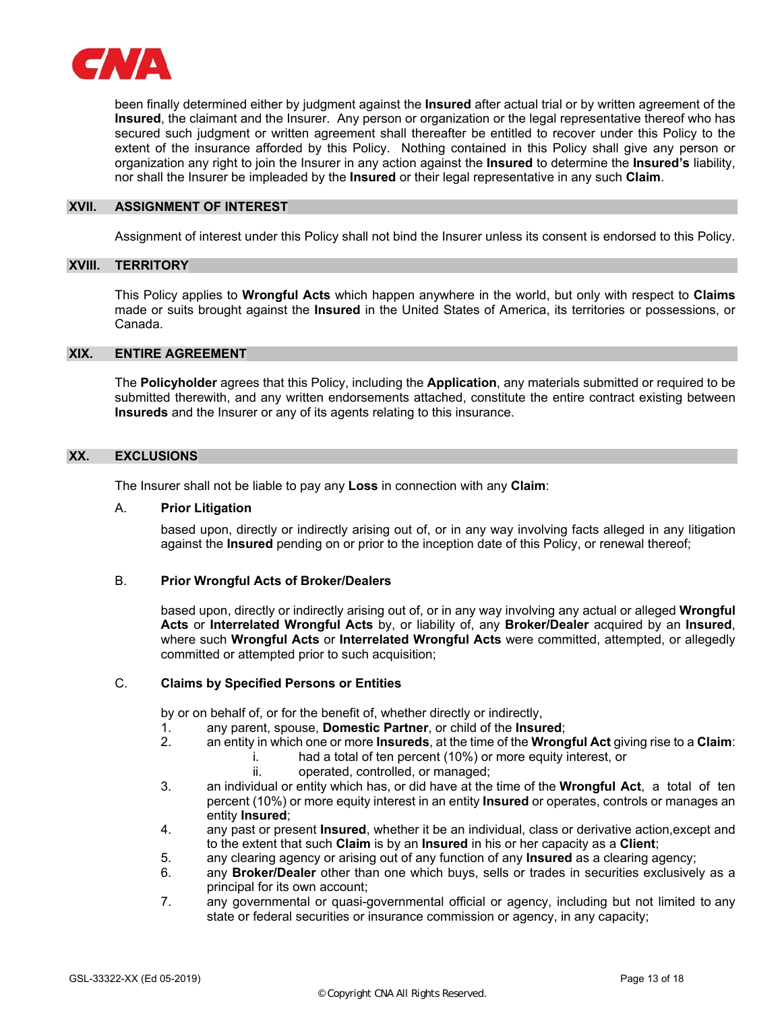

been finally determined either by judgment against the **Insured** after actual trial or by written agreement of the **Insured**, the claimant and the Insurer. Any person or organization or the legal representative thereof who has secured such judgment or written agreement shall thereafter be entitled to recover under this Policy to the extent of the insurance afforded by this Policy. Nothing contained in this Policy shall give any person or organization any right to join the Insurer in any action against the **Insured** to determine the **Insured's** liability, nor shall the Insurer be impleaded by the **Insured** or their legal representative in any such **Claim**.

#### **XVII. ASSIGNMENT OF INTEREST**

Assignment of interest under this Policy shall not bind the Insurer unless its consent is endorsed to this Policy.

#### **XVIII. TERRITORY**

This Policy applies to **Wrongful Acts** which happen anywhere in the world, but only with respect to **Claims** made or suits brought against the **Insured** in the United States of America, its territories or possessions, or Canada.

#### **XIX. ENTIRE AGREEMENT**

The **Policyholder** agrees that this Policy, including the **Application**, any materials submitted or required to be submitted therewith, and any written endorsements attached, constitute the entire contract existing between **Insureds** and the Insurer or any of its agents relating to this insurance.

## **XX. EXCLUSIONS**

The Insurer shall not be liable to pay any **Loss** in connection with any **Claim**:

#### A. **Prior Litigation**

 based upon, directly or indirectly arising out of, or in any way involving facts alleged in any litigation against the **Insured** pending on or prior to the inception date of this Policy, or renewal thereof;

## B. **Prior Wrongful Acts of Broker/Dealers**

based upon, directly or indirectly arising out of, or in any way involving any actual or alleged **Wrongful Acts** or **Interrelated Wrongful Acts** by, or liability of, any **Broker/Dealer** acquired by an **Insured**, where such **Wrongful Acts** or **Interrelated Wrongful Acts** were committed, attempted, or allegedly committed or attempted prior to such acquisition;

# C. **Claims by Specified Persons or Entities**

by or on behalf of, or for the benefit of, whether directly or indirectly,

- 1. any parent, spouse, **Domestic Partner**, or child of the **Insured**;
- 2. an entity in which one or more **Insureds**, at the time of the **Wrongful Act** giving rise to a **Claim**:
	- i. had a total of ten percent (10%) or more equity interest, or
	- ii. operated, controlled, or managed;
- 3. an individual or entity which has, or did have at the time of the **Wrongful Act**, a total of ten percent (10%) or more equity interest in an entity **Insured** or operates, controls or manages an entity **Insured**;
- 4. any past or present **Insured**, whether it be an individual, class or derivative action,except and to the extent that such **Claim** is by an **Insured** in his or her capacity as a **Client**;
- 5. any clearing agency or arising out of any function of any **Insured** as a clearing agency;
- 6. any **Broker/Dealer** other than one which buys, sells or trades in securities exclusively as a principal for its own account;
- 7. any governmental or quasi-governmental official or agency, including but not limited to any state or federal securities or insurance commission or agency, in any capacity;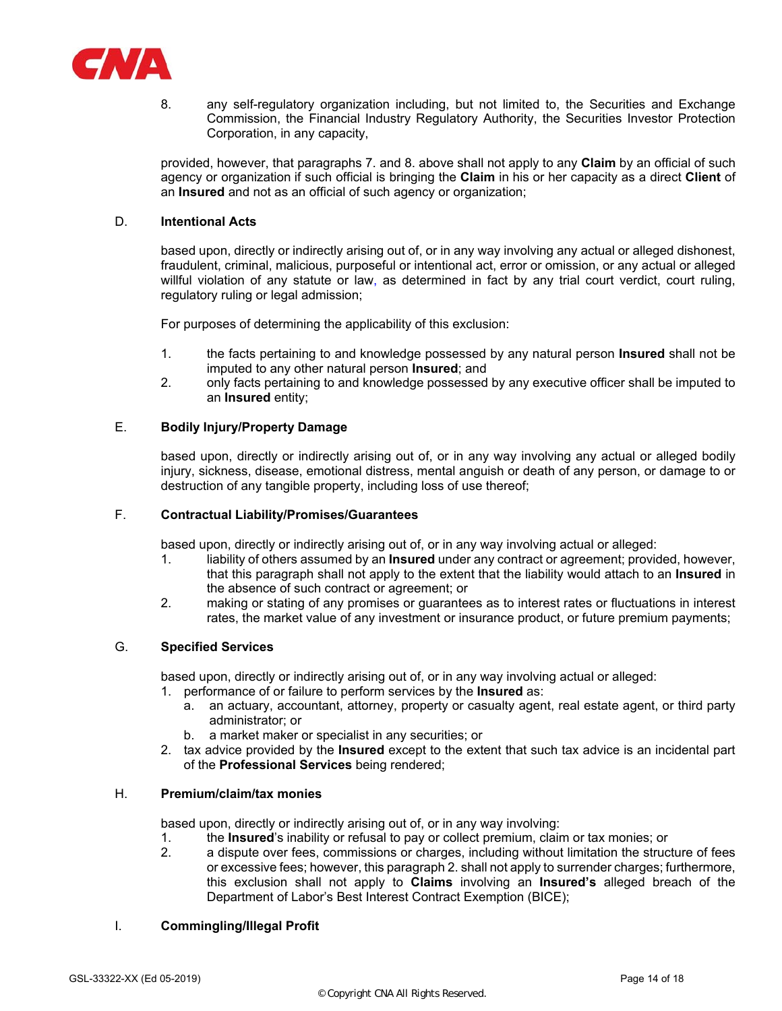

8. any self-regulatory organization including, but not limited to, the Securities and Exchange Commission, the Financial Industry Regulatory Authority, the Securities Investor Protection Corporation, in any capacity,

provided, however, that paragraphs 7. and 8. above shall not apply to any **Claim** by an official of such agency or organization if such official is bringing the **Claim** in his or her capacity as a direct **Client** of an **Insured** and not as an official of such agency or organization;

# D. **Intentional Acts**

based upon, directly or indirectly arising out of, or in any way involving any actual or alleged dishonest, fraudulent, criminal, malicious, purposeful or intentional act, error or omission, or any actual or alleged willful violation of any statute or law, as determined in fact by any trial court verdict, court ruling, regulatory ruling or legal admission;

For purposes of determining the applicability of this exclusion:

- 1. the facts pertaining to and knowledge possessed by any natural person **Insured** shall not be imputed to any other natural person **Insured**; and
- 2. only facts pertaining to and knowledge possessed by any executive officer shall be imputed to an **Insured** entity;

# E. **Bodily Injury/Property Damage**

based upon, directly or indirectly arising out of, or in any way involving any actual or alleged bodily injury, sickness, disease, emotional distress, mental anguish or death of any person, or damage to or destruction of any tangible property, including loss of use thereof;

# F. **Contractual Liability/Promises/Guarantees**

based upon, directly or indirectly arising out of, or in any way involving actual or alleged:

- 1. liability of others assumed by an **Insured** under any contract or agreement; provided, however, that this paragraph shall not apply to the extent that the liability would attach to an **Insured** in the absence of such contract or agreement; or
- 2. making or stating of any promises or guarantees as to interest rates or fluctuations in interest rates, the market value of any investment or insurance product, or future premium payments;

## G. **Specified Services**

based upon, directly or indirectly arising out of, or in any way involving actual or alleged:

- 1. performance of or failure to perform services by the **Insured** as:
	- a. an actuary, accountant, attorney, property or casualty agent, real estate agent, or third party administrator; or
	- b. a market maker or specialist in any securities; or
- 2. tax advice provided by the **Insured** except to the extent that such tax advice is an incidental part of the **Professional Services** being rendered;

# H. **Premium/claim/tax monies**

based upon, directly or indirectly arising out of, or in any way involving:

- 1. the **Insured**'s inability or refusal to pay or collect premium, claim or tax monies; or
- 2. a dispute over fees, commissions or charges, including without limitation the structure of fees or excessive fees; however, this paragraph 2. shall not apply to surrender charges; furthermore, this exclusion shall not apply to **Claims** involving an **Insured's** alleged breach of the Department of Labor's Best Interest Contract Exemption (BICE);

# I. **Commingling/Illegal Profit**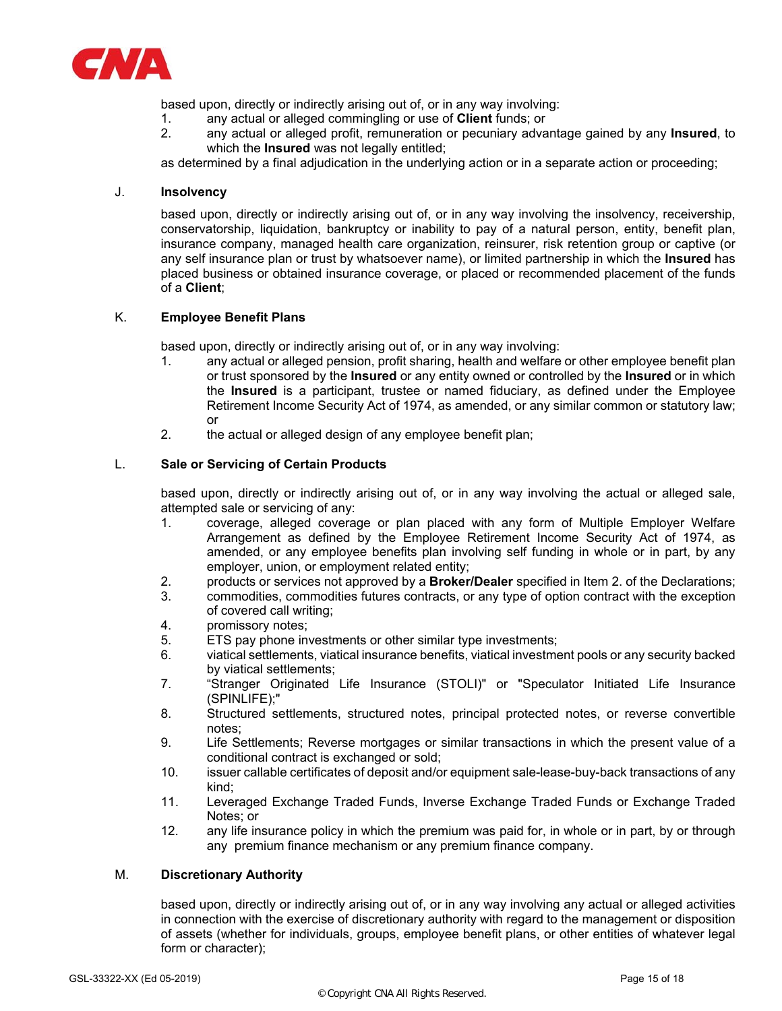

based upon, directly or indirectly arising out of, or in any way involving:

- 1. any actual or alleged commingling or use of **Client** funds; or
- 2. any actual or alleged profit, remuneration or pecuniary advantage gained by any **Insured**, to which the **Insured** was not legally entitled;

as determined by a final adjudication in the underlying action or in a separate action or proceeding;

# J. **Insolvency**

based upon, directly or indirectly arising out of, or in any way involving the insolvency, receivership, conservatorship, liquidation, bankruptcy or inability to pay of a natural person, entity, benefit plan, insurance company, managed health care organization, reinsurer, risk retention group or captive (or any self insurance plan or trust by whatsoever name), or limited partnership in which the **Insured** has placed business or obtained insurance coverage, or placed or recommended placement of the funds of a **Client**;

# K. **Employee Benefit Plans**

based upon, directly or indirectly arising out of, or in any way involving:

- 1. any actual or alleged pension, profit sharing, health and welfare or other employee benefit plan or trust sponsored by the **Insured** or any entity owned or controlled by the **Insured** or in which the **Insured** is a participant, trustee or named fiduciary, as defined under the Employee Retirement Income Security Act of 1974, as amended, or any similar common or statutory law; or
- 2. the actual or alleged design of any employee benefit plan;

# L. **Sale or Servicing of Certain Products**

based upon, directly or indirectly arising out of, or in any way involving the actual or alleged sale, attempted sale or servicing of any:

- 1. coverage, alleged coverage or plan placed with any form of Multiple Employer Welfare Arrangement as defined by the Employee Retirement Income Security Act of 1974, as amended, or any employee benefits plan involving self funding in whole or in part, by any employer, union, or employment related entity;
- 2. products or services not approved by a **Broker/Dealer** specified in Item 2. of the Declarations;
- 3. commodities, commodities futures contracts, or any type of option contract with the exception of covered call writing;
- 4. promissory notes;
- 5. ETS pay phone investments or other similar type investments;
- 6. viatical settlements, viatical insurance benefits, viatical investment pools or any security backed by viatical settlements;
- 7. "Stranger Originated Life Insurance (STOLI)" or "Speculator Initiated Life Insurance (SPINLIFE);"
- 8. Structured settlements, structured notes, principal protected notes, or reverse convertible notes;
- 9. Life Settlements; Reverse mortgages or similar transactions in which the present value of a conditional contract is exchanged or sold;
- 10. issuer callable certificates of deposit and/or equipment sale-lease-buy-back transactions of any kind;
- 11. Leveraged Exchange Traded Funds, Inverse Exchange Traded Funds or Exchange Traded Notes; or
- 12. any life insurance policy in which the premium was paid for, in whole or in part, by or through any premium finance mechanism or any premium finance company.

## M. **Discretionary Authority**

based upon, directly or indirectly arising out of, or in any way involving any actual or alleged activities in connection with the exercise of discretionary authority with regard to the management or disposition of assets (whether for individuals, groups, employee benefit plans, or other entities of whatever legal form or character);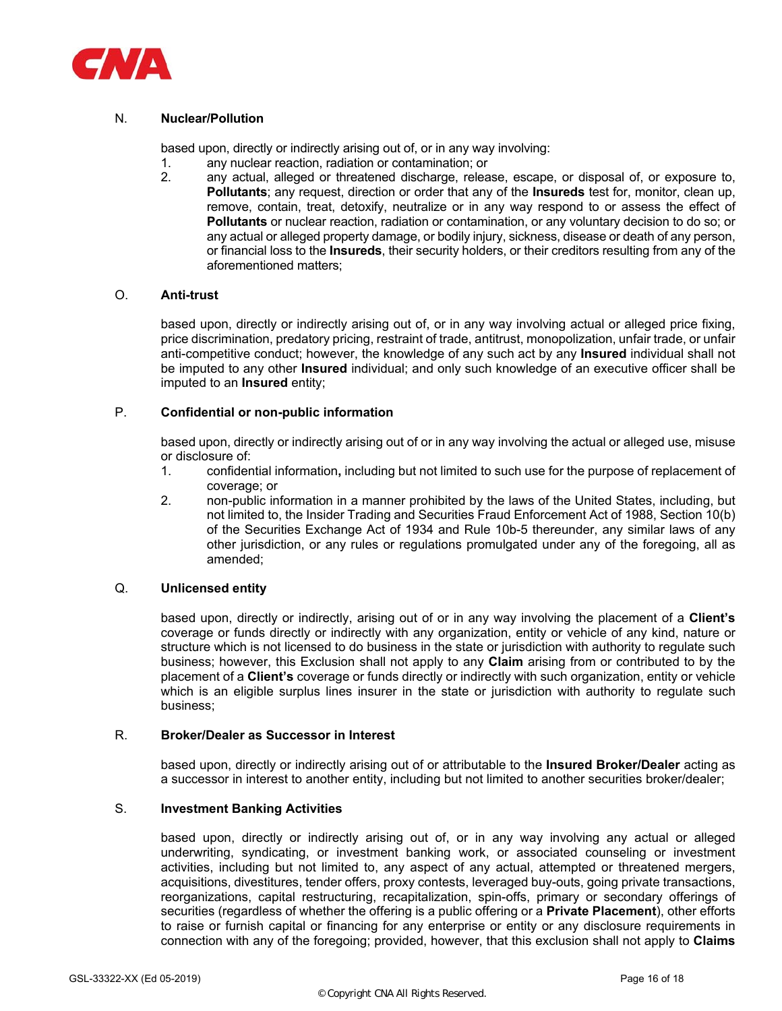

# N. **Nuclear/Pollution**

based upon, directly or indirectly arising out of, or in any way involving:

- 1. any nuclear reaction, radiation or contamination; or
- any actual, alleged or threatened discharge, release, escape, or disposal of, or exposure to, **Pollutants**; any request, direction or order that any of the **Insureds** test for, monitor, clean up, remove, contain, treat, detoxify, neutralize or in any way respond to or assess the effect of **Pollutants** or nuclear reaction, radiation or contamination, or any voluntary decision to do so; or any actual or alleged property damage, or bodily injury, sickness, disease or death of any person, or financial loss to the **Insureds**, their security holders, or their creditors resulting from any of the aforementioned matters;

# O. **Anti-trust**

based upon, directly or indirectly arising out of, or in any way involving actual or alleged price fixing, price discrimination, predatory pricing, restraint of trade, antitrust, monopolization, unfair trade, or unfair anti-competitive conduct; however, the knowledge of any such act by any **Insured** individual shall not be imputed to any other **Insured** individual; and only such knowledge of an executive officer shall be imputed to an **Insured** entity;

# P. **Confidential or non-public information**

 based upon, directly or indirectly arising out of or in any way involving the actual or alleged use, misuse or disclosure of:

- 1. confidential information**,** including but not limited to such use for the purpose of replacement of coverage; or
- 2. non-public information in a manner prohibited by the laws of the United States, including, but not limited to, the Insider Trading and Securities Fraud Enforcement Act of 1988, Section 10(b) of the Securities Exchange Act of 1934 and Rule 10b-5 thereunder, any similar laws of any other jurisdiction, or any rules or regulations promulgated under any of the foregoing, all as amended;

## Q. **Unlicensed entity**

based upon, directly or indirectly, arising out of or in any way involving the placement of a **Client's**  coverage or funds directly or indirectly with any organization, entity or vehicle of any kind, nature or structure which is not licensed to do business in the state or jurisdiction with authority to regulate such business; however, this Exclusion shall not apply to any **Claim** arising from or contributed to by the placement of a **Client's** coverage or funds directly or indirectly with such organization, entity or vehicle which is an eligible surplus lines insurer in the state or jurisdiction with authority to regulate such business;

## R. **Broker/Dealer as Successor in Interest**

based upon, directly or indirectly arising out of or attributable to the **Insured Broker/Dealer** acting as a successor in interest to another entity, including but not limited to another securities broker/dealer;

# S. **Investment Banking Activities**

based upon, directly or indirectly arising out of, or in any way involving any actual or alleged underwriting, syndicating, or investment banking work, or associated counseling or investment activities, including but not limited to, any aspect of any actual, attempted or threatened mergers, acquisitions, divestitures, tender offers, proxy contests, leveraged buy-outs, going private transactions, reorganizations, capital restructuring, recapitalization, spin-offs, primary or secondary offerings of securities (regardless of whether the offering is a public offering or a **Private Placement**), other efforts to raise or furnish capital or financing for any enterprise or entity or any disclosure requirements in connection with any of the foregoing; provided, however, that this exclusion shall not apply to **Claims**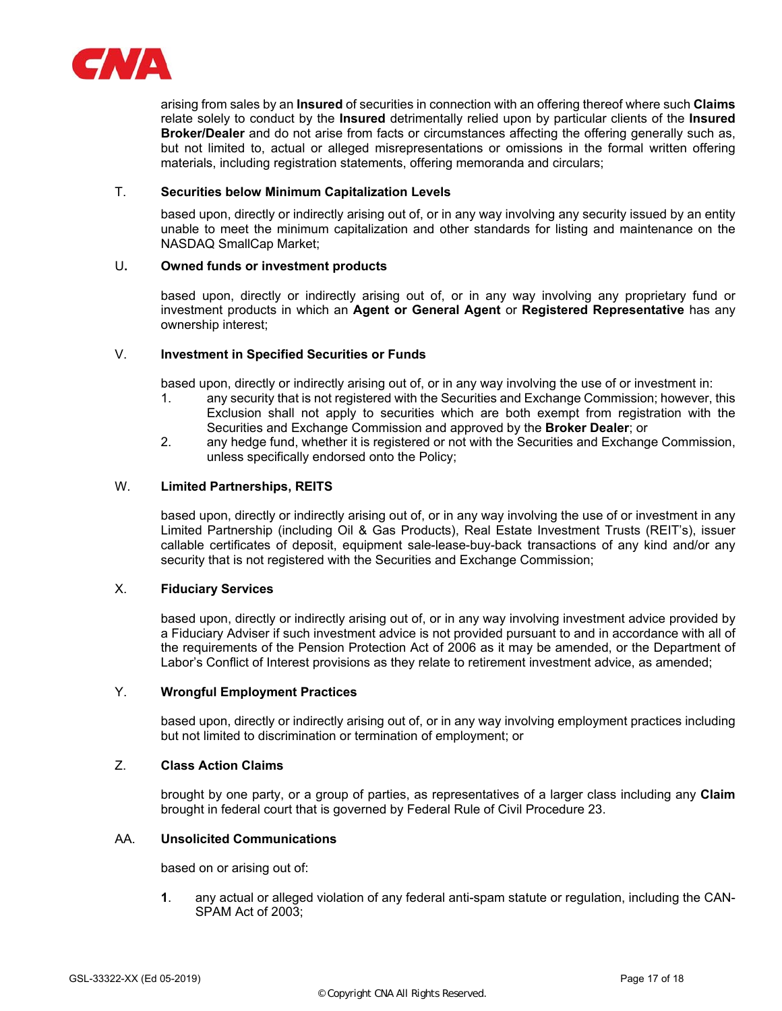

arising from sales by an **Insured** of securities in connection with an offering thereof where such **Claims** relate solely to conduct by the **Insured** detrimentally relied upon by particular clients of the **Insured Broker/Dealer** and do not arise from facts or circumstances affecting the offering generally such as, but not limited to, actual or alleged misrepresentations or omissions in the formal written offering materials, including registration statements, offering memoranda and circulars;

## T. **Securities below Minimum Capitalization Levels**

based upon, directly or indirectly arising out of, or in any way involving any security issued by an entity unable to meet the minimum capitalization and other standards for listing and maintenance on the NASDAQ SmallCap Market;

# U**. Owned funds or investment products**

based upon, directly or indirectly arising out of, or in any way involving any proprietary fund or investment products in which an **Agent or General Agent** or **Registered Representative** has any ownership interest;

# V. **Investment in Specified Securities or Funds**

based upon, directly or indirectly arising out of, or in any way involving the use of or investment in:

- 1. any security that is not registered with the Securities and Exchange Commission; however, this Exclusion shall not apply to securities which are both exempt from registration with the Securities and Exchange Commission and approved by the **Broker Dealer**; or
- 2. any hedge fund, whether it is registered or not with the Securities and Exchange Commission, unless specifically endorsed onto the Policy;

## W. **Limited Partnerships, REITS**

based upon, directly or indirectly arising out of, or in any way involving the use of or investment in any Limited Partnership (including Oil & Gas Products), Real Estate Investment Trusts (REIT's), issuer callable certificates of deposit, equipment sale-lease-buy-back transactions of any kind and/or any security that is not registered with the Securities and Exchange Commission;

# X. **Fiduciary Services**

based upon, directly or indirectly arising out of, or in any way involving investment advice provided by a Fiduciary Adviser if such investment advice is not provided pursuant to and in accordance with all of the requirements of the Pension Protection Act of 2006 as it may be amended, or the Department of Labor's Conflict of Interest provisions as they relate to retirement investment advice, as amended;

# Y. **Wrongful Employment Practices**

based upon, directly or indirectly arising out of, or in any way involving employment practices including but not limited to discrimination or termination of employment; or

# Z. **Class Action Claims**

brought by one party, or a group of parties, as representatives of a larger class including any **Claim** brought in federal court that is governed by Federal Rule of Civil Procedure 23.

## AA. **Unsolicited Communications**

based on or arising out of:

**1**. any actual or alleged violation of any federal anti-spam statute or regulation, including the CAN-SPAM Act of 2003;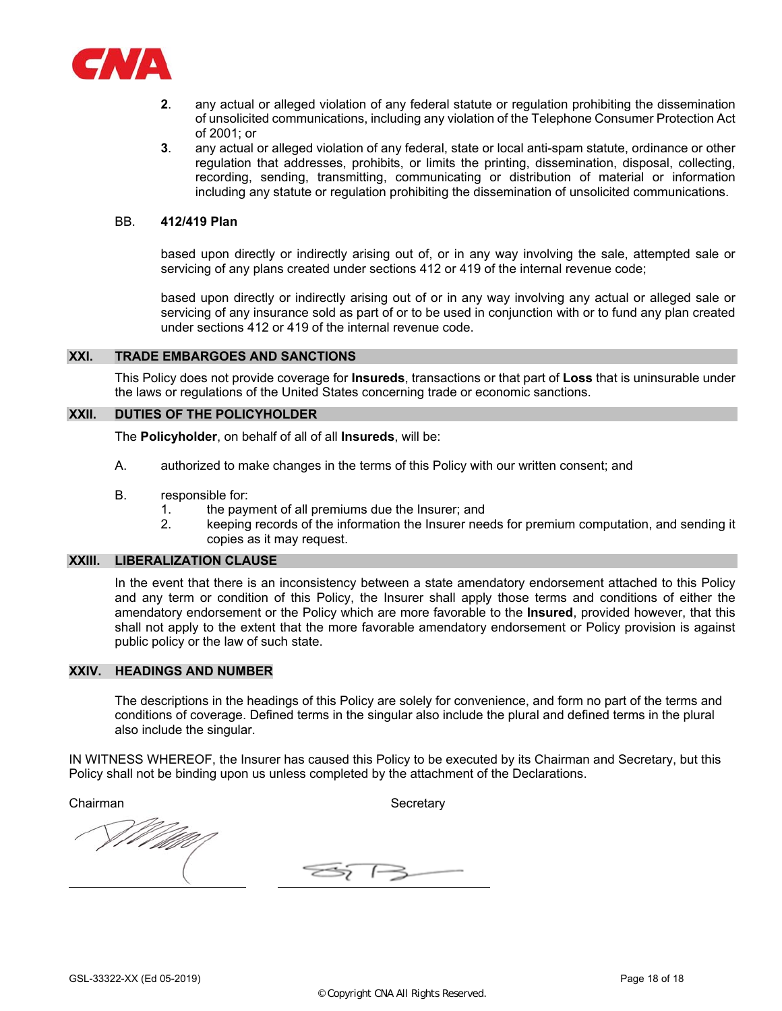

- **2**. any actual or alleged violation of any federal statute or regulation prohibiting the dissemination of unsolicited communications, including any violation of the Telephone Consumer Protection Act of 2001; or
- **3**. any actual or alleged violation of any federal, state or local anti-spam statute, ordinance or other regulation that addresses, prohibits, or limits the printing, dissemination, disposal, collecting, recording, sending, transmitting, communicating or distribution of material or information including any statute or regulation prohibiting the dissemination of unsolicited communications.

#### BB. **412/419 Plan**

 based upon directly or indirectly arising out of, or in any way involving the sale, attempted sale or servicing of any plans created under sections 412 or 419 of the internal revenue code;

 based upon directly or indirectly arising out of or in any way involving any actual or alleged sale or servicing of any insurance sold as part of or to be used in conjunction with or to fund any plan created under sections 412 or 419 of the internal revenue code.

## **XXI. TRADE EMBARGOES AND SANCTIONS**

This Policy does not provide coverage for **Insureds**, transactions or that part of **Loss** that is uninsurable under the laws or regulations of the United States concerning trade or economic sanctions.

# **XXII. DUTIES OF THE POLICYHOLDER**

The **Policyholder**, on behalf of all of all **Insureds**, will be:

- A. authorized to make changes in the terms of this Policy with our written consent; and
- B. responsible for:
	- 1. the payment of all premiums due the Insurer; and
	- 2. keeping records of the information the Insurer needs for premium computation, and sending it copies as it may request.

#### **XXIII. LIBERALIZATION CLAUSE**

In the event that there is an inconsistency between a state amendatory endorsement attached to this Policy and any term or condition of this Policy, the Insurer shall apply those terms and conditions of either the amendatory endorsement or the Policy which are more favorable to the **Insured**, provided however, that this shall not apply to the extent that the more favorable amendatory endorsement or Policy provision is against public policy or the law of such state.

#### **XXIV. HEADINGS AND NUMBER**

The descriptions in the headings of this Policy are solely for convenience, and form no part of the terms and conditions of coverage. Defined terms in the singular also include the plural and defined terms in the plural also include the singular.

IN WITNESS WHEREOF, the Insurer has caused this Policy to be executed by its Chairman and Secretary, but this Policy shall not be binding upon us unless completed by the attachment of the Declarations.

Chairman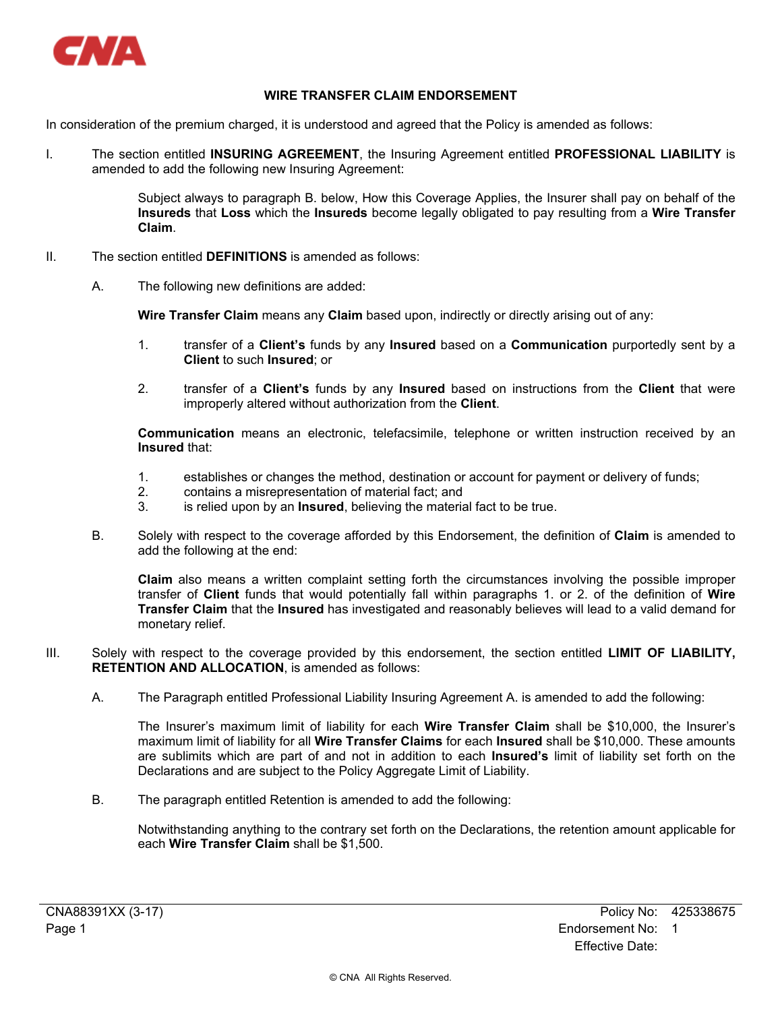

# **WIRE TRANSFER CLAIM ENDORSEMENT**

In consideration of the premium charged, it is understood and agreed that the Policy is amended as follows:

I. The section entitled **INSURING AGREEMENT**, the Insuring Agreement entitled **PROFESSIONAL LIABILITY** is amended to add the following new Insuring Agreement:

> Subject always to paragraph B. below, How this Coverage Applies, the Insurer shall pay on behalf of the **Insureds** that **Loss** which the **Insureds** become legally obligated to pay resulting from a **Wire Transfer Claim**.

- II. The section entitled **DEFINITIONS** is amended as follows:
	- A. The following new definitions are added:

**Wire Transfer Claim** means any **Claim** based upon, indirectly or directly arising out of any:

- 1. transfer of a **Client's** funds by any **Insured** based on a **Communication** purportedly sent by a **Client** to such **Insured**; or
- 2. transfer of a **Client's** funds by any **Insured** based on instructions from the **Client** that were improperly altered without authorization from the **Client**.

**Communication** means an electronic, telefacsimile, telephone or written instruction received by an **Insured** that:

- 1. establishes or changes the method, destination or account for payment or delivery of funds;<br>2. contains a misrepresentation of material fact: and
- 2. contains a misrepresentation of material fact; and
- 3. is relied upon by an **Insured**, believing the material fact to be true.
- B. Solely with respect to the coverage afforded by this Endorsement, the definition of **Claim** is amended to add the following at the end:

**Claim** also means a written complaint setting forth the circumstances involving the possible improper transfer of **Client** funds that would potentially fall within paragraphs 1. or 2. of the definition of **Wire Transfer Claim** that the **Insured** has investigated and reasonably believes will lead to a valid demand for monetary relief.

- III. Solely with respect to the coverage provided by this endorsement, the section entitled **LIMIT OF LIABILITY, RETENTION AND ALLOCATION**, is amended as follows:
	- A. The Paragraph entitled Professional Liability Insuring Agreement A. is amended to add the following:

The Insurer's maximum limit of liability for each **Wire Transfer Claim** shall be \$10,000, the Insurer's maximum limit of liability for all **Wire Transfer Claims** for each **Insured** shall be \$10,000. These amounts are sublimits which are part of and not in addition to each **Insured's** limit of liability set forth on the Declarations and are subject to the Policy Aggregate Limit of Liability.

B. The paragraph entitled Retention is amended to add the following:

Notwithstanding anything to the contrary set forth on the Declarations, the retention amount applicable for each **Wire Transfer Claim** shall be \$1,500.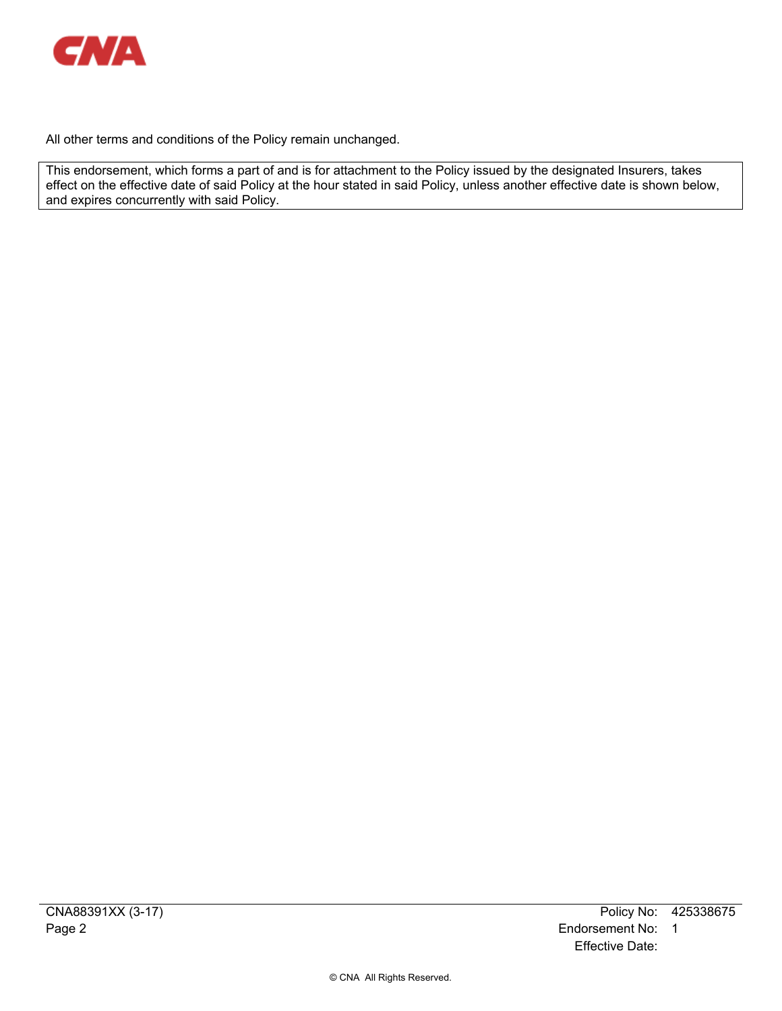

All other terms and conditions of the Policy remain unchanged.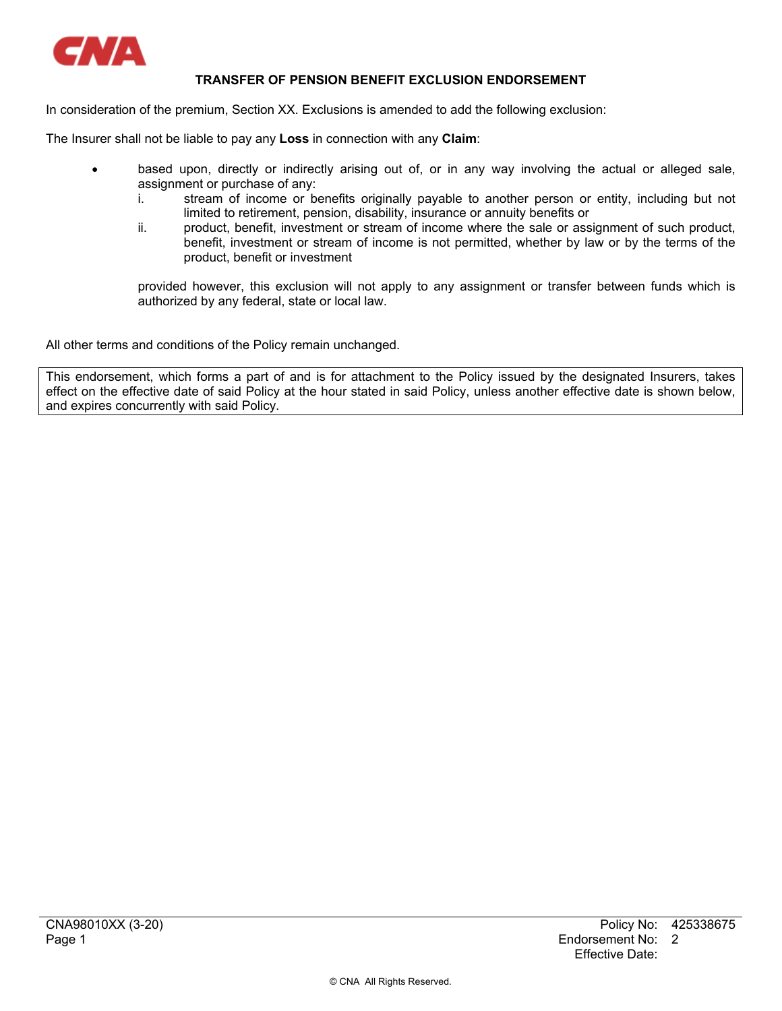

# **TRANSFER OF PENSION BENEFIT EXCLUSION ENDORSEMENT**

In consideration of the premium, Section XX. Exclusions is amended to add the following exclusion:

The Insurer shall not be liable to pay any **Loss** in connection with any **Claim**:

- based upon, directly or indirectly arising out of, or in any way involving the actual or alleged sale, assignment or purchase of any:
	- i. stream of income or benefits originally payable to another person or entity, including but not limited to retirement, pension, disability, insurance or annuity benefits or
	- ii. product, benefit, investment or stream of income where the sale or assignment of such product, benefit, investment or stream of income is not permitted, whether by law or by the terms of the product, benefit or investment

provided however, this exclusion will not apply to any assignment or transfer between funds which is authorized by any federal, state or local law.

All other terms and conditions of the Policy remain unchanged.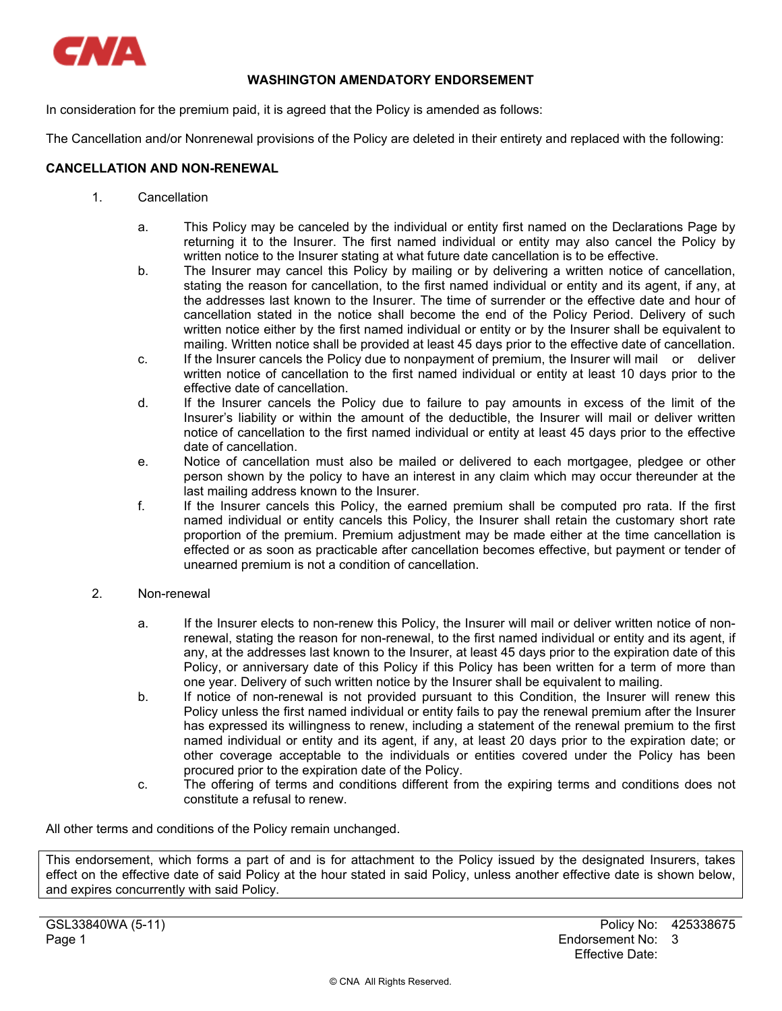

# **WASHINGTON AMENDATORY ENDORSEMENT**

In consideration for the premium paid, it is agreed that the Policy is amended as follows:

The Cancellation and/or Nonrenewal provisions of the Policy are deleted in their entirety and replaced with the following:

# **CANCELLATION AND NON-RENEWAL**

- 1. Cancellation
	- a. This Policy may be canceled by the individual or entity first named on the Declarations Page by returning it to the Insurer. The first named individual or entity may also cancel the Policy by written notice to the Insurer stating at what future date cancellation is to be effective.
	- b. The Insurer may cancel this Policy by mailing or by delivering a written notice of cancellation, stating the reason for cancellation, to the first named individual or entity and its agent, if any, at the addresses last known to the Insurer. The time of surrender or the effective date and hour of cancellation stated in the notice shall become the end of the Policy Period. Delivery of such written notice either by the first named individual or entity or by the Insurer shall be equivalent to mailing. Written notice shall be provided at least 45 days prior to the effective date of cancellation.
	- c. If the Insurer cancels the Policy due to nonpayment of premium, the Insurer will mail or deliver written notice of cancellation to the first named individual or entity at least 10 days prior to the effective date of cancellation.
	- d. If the Insurer cancels the Policy due to failure to pay amounts in excess of the limit of the Insurer's liability or within the amount of the deductible, the Insurer will mail or deliver written notice of cancellation to the first named individual or entity at least 45 days prior to the effective date of cancellation.
	- e. Notice of cancellation must also be mailed or delivered to each mortgagee, pledgee or other person shown by the policy to have an interest in any claim which may occur thereunder at the last mailing address known to the Insurer.
	- f. If the Insurer cancels this Policy, the earned premium shall be computed pro rata. If the first named individual or entity cancels this Policy, the Insurer shall retain the customary short rate proportion of the premium. Premium adjustment may be made either at the time cancellation is effected or as soon as practicable after cancellation becomes effective, but payment or tender of unearned premium is not a condition of cancellation.
- 2. Non-renewal
	- a. If the Insurer elects to non-renew this Policy, the Insurer will mail or deliver written notice of nonrenewal, stating the reason for non-renewal, to the first named individual or entity and its agent, if any, at the addresses last known to the Insurer, at least 45 days prior to the expiration date of this Policy, or anniversary date of this Policy if this Policy has been written for a term of more than one year. Delivery of such written notice by the Insurer shall be equivalent to mailing.
	- b. If notice of non-renewal is not provided pursuant to this Condition, the Insurer will renew this Policy unless the first named individual or entity fails to pay the renewal premium after the Insurer has expressed its willingness to renew, including a statement of the renewal premium to the first named individual or entity and its agent, if any, at least 20 days prior to the expiration date; or other coverage acceptable to the individuals or entities covered under the Policy has been procured prior to the expiration date of the Policy.
	- c. The offering of terms and conditions different from the expiring terms and conditions does not constitute a refusal to renew.

All other terms and conditions of the Policy remain unchanged.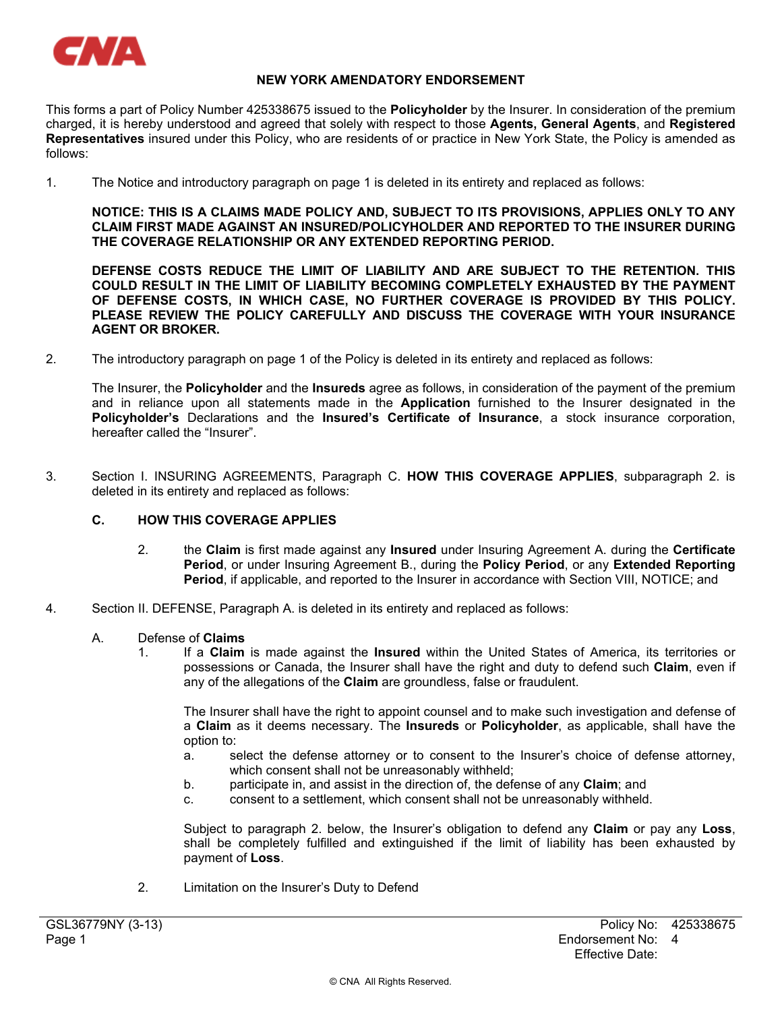

# **NEW YORK AMENDATORY ENDORSEMENT**

This forms a part of Policy Number 425338675 issued to the **Policyholder** by the Insurer. In consideration of the premium charged, it is hereby understood and agreed that solely with respect to those **Agents, General Agents**, and **Registered Representatives** insured under this Policy, who are residents of or practice in New York State, the Policy is amended as follows:

1. The Notice and introductory paragraph on page 1 is deleted in its entirety and replaced as follows:

**NOTICE: THIS IS A CLAIMS MADE POLICY AND, SUBJECT TO ITS PROVISIONS, APPLIES ONLY TO ANY CLAIM FIRST MADE AGAINST AN INSURED/POLICYHOLDER AND REPORTED TO THE INSURER DURING THE COVERAGE RELATIONSHIP OR ANY EXTENDED REPORTING PERIOD.** 

**DEFENSE COSTS REDUCE THE LIMIT OF LIABILITY AND ARE SUBJECT TO THE RETENTION. THIS COULD RESULT IN THE LIMIT OF LIABILITY BECOMING COMPLETELY EXHAUSTED BY THE PAYMENT OF DEFENSE COSTS, IN WHICH CASE, NO FURTHER COVERAGE IS PROVIDED BY THIS POLICY. PLEASE REVIEW THE POLICY CAREFULLY AND DISCUSS THE COVERAGE WITH YOUR INSURANCE AGENT OR BROKER.** 

2. The introductory paragraph on page 1 of the Policy is deleted in its entirety and replaced as follows:

The Insurer, the **Policyholder** and the **Insureds** agree as follows, in consideration of the payment of the premium and in reliance upon all statements made in the **Application** furnished to the Insurer designated in the **Policyholder's** Declarations and the **Insured's Certificate of Insurance**, a stock insurance corporation, hereafter called the "Insurer".

3. Section I. INSURING AGREEMENTS, Paragraph C. **HOW THIS COVERAGE APPLIES**, subparagraph 2. is deleted in its entirety and replaced as follows:

# **C. HOW THIS COVERAGE APPLIES**

- 2. the **Claim** is first made against any **Insured** under Insuring Agreement A. during the **Certificate Period**, or under Insuring Agreement B., during the **Policy Period**, or any **Extended Reporting Period**, if applicable, and reported to the Insurer in accordance with Section VIII, NOTICE; and
- 4. Section II. DEFENSE, Paragraph A. is deleted in its entirety and replaced as follows:

# A. Defense of **Claims**

1. If a **Claim** is made against the **Insured** within the United States of America, its territories or possessions or Canada, the Insurer shall have the right and duty to defend such **Claim**, even if any of the allegations of the **Claim** are groundless, false or fraudulent.

The Insurer shall have the right to appoint counsel and to make such investigation and defense of a **Claim** as it deems necessary. The **Insureds** or **Policyholder**, as applicable, shall have the option to:

- a. select the defense attorney or to consent to the Insurer's choice of defense attorney, which consent shall not be unreasonably withheld;
- b. participate in, and assist in the direction of, the defense of any **Claim**; and
- c. consent to a settlement, which consent shall not be unreasonably withheld.

Subject to paragraph 2. below, the Insurer's obligation to defend any **Claim** or pay any **Loss**, shall be completely fulfilled and extinguished if the limit of liability has been exhausted by payment of **Loss**.

2. Limitation on the Insurer's Duty to Defend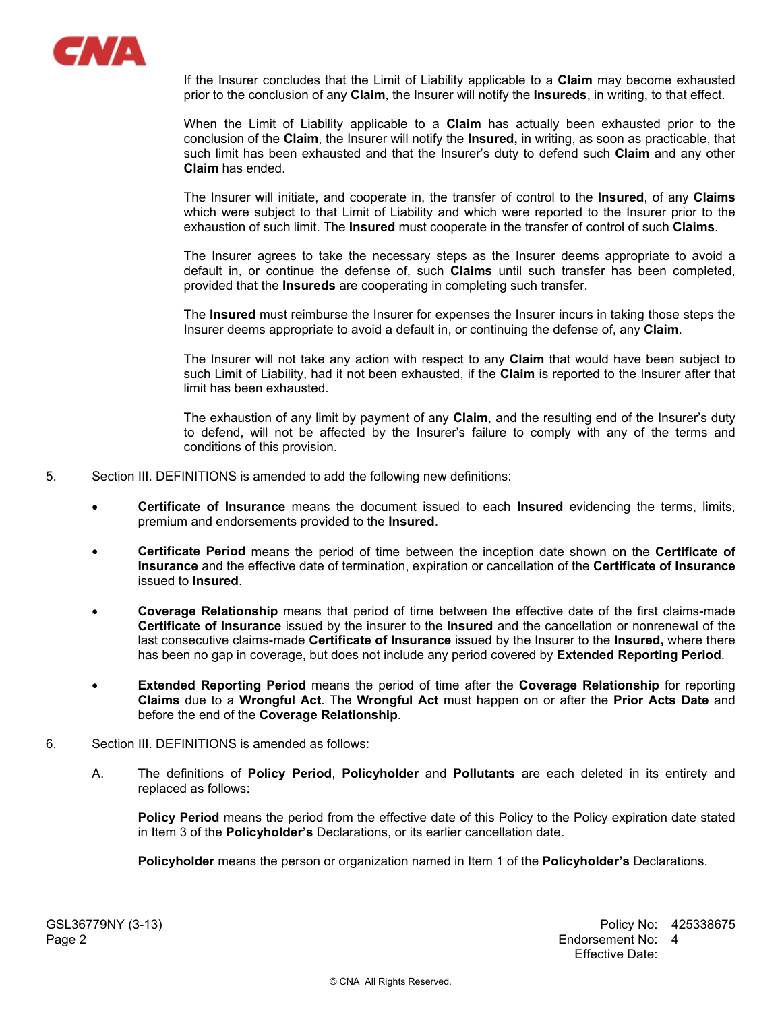

If the Insurer concludes that the Limit of Liability applicable to a **Claim** may become exhausted prior to the conclusion of any **Claim**, the Insurer will notify the **Insureds**, in writing, to that effect.

When the Limit of Liability applicable to a **Claim** has actually been exhausted prior to the conclusion of the **Claim**, the Insurer will notify the **Insured,** in writing, as soon as practicable, that such limit has been exhausted and that the Insurer's duty to defend such **Claim** and any other **Claim** has ended.

The Insurer will initiate, and cooperate in, the transfer of control to the **Insured**, of any **Claims** which were subject to that Limit of Liability and which were reported to the Insurer prior to the exhaustion of such limit. The **Insured** must cooperate in the transfer of control of such **Claims**.

The Insurer agrees to take the necessary steps as the Insurer deems appropriate to avoid a default in, or continue the defense of, such **Claims** until such transfer has been completed, provided that the **Insureds** are cooperating in completing such transfer.

The **Insured** must reimburse the Insurer for expenses the Insurer incurs in taking those steps the Insurer deems appropriate to avoid a default in, or continuing the defense of, any **Claim**.

The Insurer will not take any action with respect to any **Claim** that would have been subject to such Limit of Liability, had it not been exhausted, if the **Claim** is reported to the Insurer after that limit has been exhausted.

The exhaustion of any limit by payment of any **Claim**, and the resulting end of the Insurer's duty to defend, will not be affected by the Insurer's failure to comply with any of the terms and conditions of this provision.

- 5. Section III. DEFINITIONS is amended to add the following new definitions:
	- **Certificate of Insurance** means the document issued to each **Insured** evidencing the terms, limits, premium and endorsements provided to the **Insured**.
	- **Certificate Period** means the period of time between the inception date shown on the **Certificate of Insurance** and the effective date of termination, expiration or cancellation of the **Certificate of Insurance** issued to **Insured**.
	- **Coverage Relationship** means that period of time between the effective date of the first claims-made **Certificate of Insurance** issued by the insurer to the **Insured** and the cancellation or nonrenewal of the last consecutive claims-made **Certificate of Insurance** issued by the Insurer to the **Insured,** where there has been no gap in coverage, but does not include any period covered by **Extended Reporting Period**.
	- **Extended Reporting Period** means the period of time after the **Coverage Relationship** for reporting **Claims** due to a **Wrongful Act**. The **Wrongful Act** must happen on or after the **Prior Acts Date** and before the end of the **Coverage Relationship**.
- 6. Section III. DEFINITIONS is amended as follows:
	- A. The definitions of **Policy Period**, **Policyholder** and **Pollutants** are each deleted in its entirety and replaced as follows:

**Policy Period** means the period from the effective date of this Policy to the Policy expiration date stated in Item 3 of the **Policyholder's** Declarations, or its earlier cancellation date.

**Policyholder** means the person or organization named in Item 1 of the **Policyholder's** Declarations.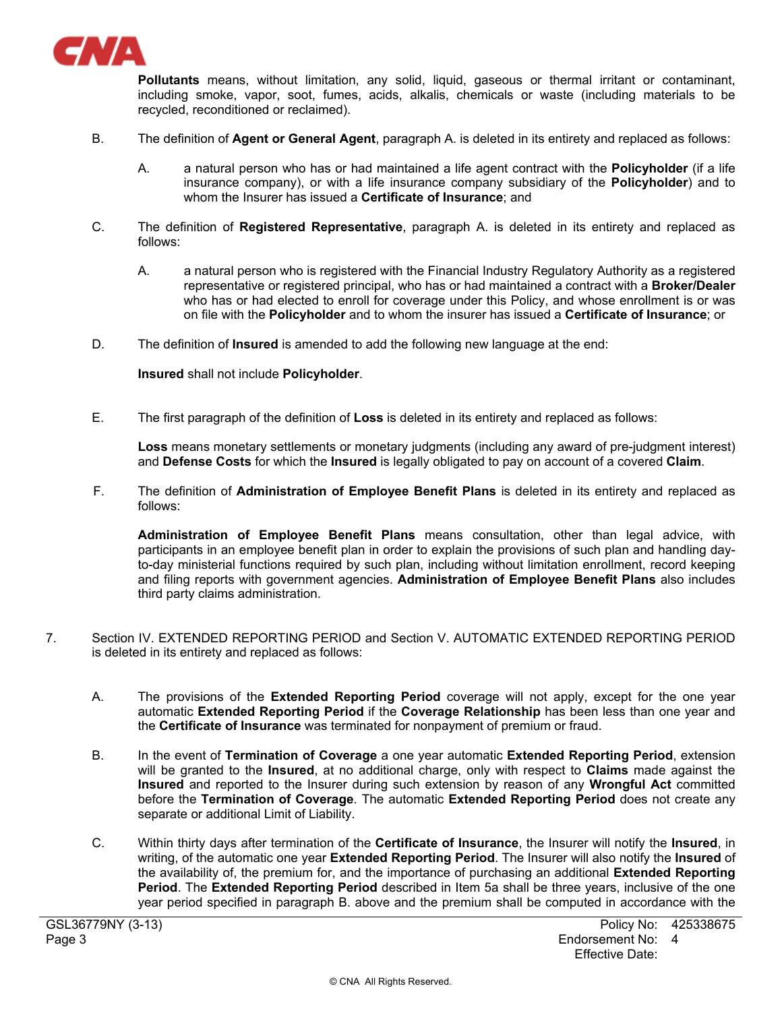

**Pollutants** means, without limitation, any solid, liquid, gaseous or thermal irritant or contaminant, including smoke, vapor, soot, fumes, acids, alkalis, chemicals or waste (including materials to be recycled, reconditioned or reclaimed).

- B. The definition of **Agent or General Agent**, paragraph A. is deleted in its entirety and replaced as follows:
	- A. a natural person who has or had maintained a life agent contract with the **Policyholder** (if a life insurance company), or with a life insurance company subsidiary of the **Policyholder**) and to whom the Insurer has issued a **Certificate of Insurance**; and
- C. The definition of **Registered Representative**, paragraph A. is deleted in its entirety and replaced as follows:
	- A. a natural person who is registered with the Financial Industry Regulatory Authority as a registered representative or registered principal, who has or had maintained a contract with a **Broker/Dealer** who has or had elected to enroll for coverage under this Policy, and whose enrollment is or was on file with the **Policyholder** and to whom the insurer has issued a **Certificate of Insurance**; or
- D. The definition of **Insured** is amended to add the following new language at the end:

**Insured** shall not include **Policyholder**.

E. The first paragraph of the definition of **Loss** is deleted in its entirety and replaced as follows:

**Loss** means monetary settlements or monetary judgments (including any award of pre-judgment interest) and **Defense Costs** for which the **Insured** is legally obligated to pay on account of a covered **Claim**.

F. The definition of **Administration of Employee Benefit Plans** is deleted in its entirety and replaced as follows:

**Administration of Employee Benefit Plans** means consultation, other than legal advice, with participants in an employee benefit plan in order to explain the provisions of such plan and handling dayto-day ministerial functions required by such plan, including without limitation enrollment, record keeping and filing reports with government agencies. **Administration of Employee Benefit Plans** also includes third party claims administration.

- 7. Section IV. EXTENDED REPORTING PERIOD and Section V. AUTOMATIC EXTENDED REPORTING PERIOD is deleted in its entirety and replaced as follows:
	- A. The provisions of the **Extended Reporting Period** coverage will not apply, except for the one year automatic **Extended Reporting Period** if the **Coverage Relationship** has been less than one year and the **Certificate of Insurance** was terminated for nonpayment of premium or fraud.
	- B. In the event of **Termination of Coverage** a one year automatic **Extended Reporting Period**, extension will be granted to the **Insured**, at no additional charge, only with respect to **Claims** made against the **Insured** and reported to the Insurer during such extension by reason of any **Wrongful Act** committed before the **Termination of Coverage**. The automatic **Extended Reporting Period** does not create any separate or additional Limit of Liability.
	- C. Within thirty days after termination of the **Certificate of Insurance**, the Insurer will notify the **Insured**, in writing, of the automatic one year **Extended Reporting Period**. The Insurer will also notify the **Insured** of the availability of, the premium for, and the importance of purchasing an additional **Extended Reporting Period**. The **Extended Reporting Period** described in Item 5a shall be three years, inclusive of the one year period specified in paragraph B. above and the premium shall be computed in accordance with the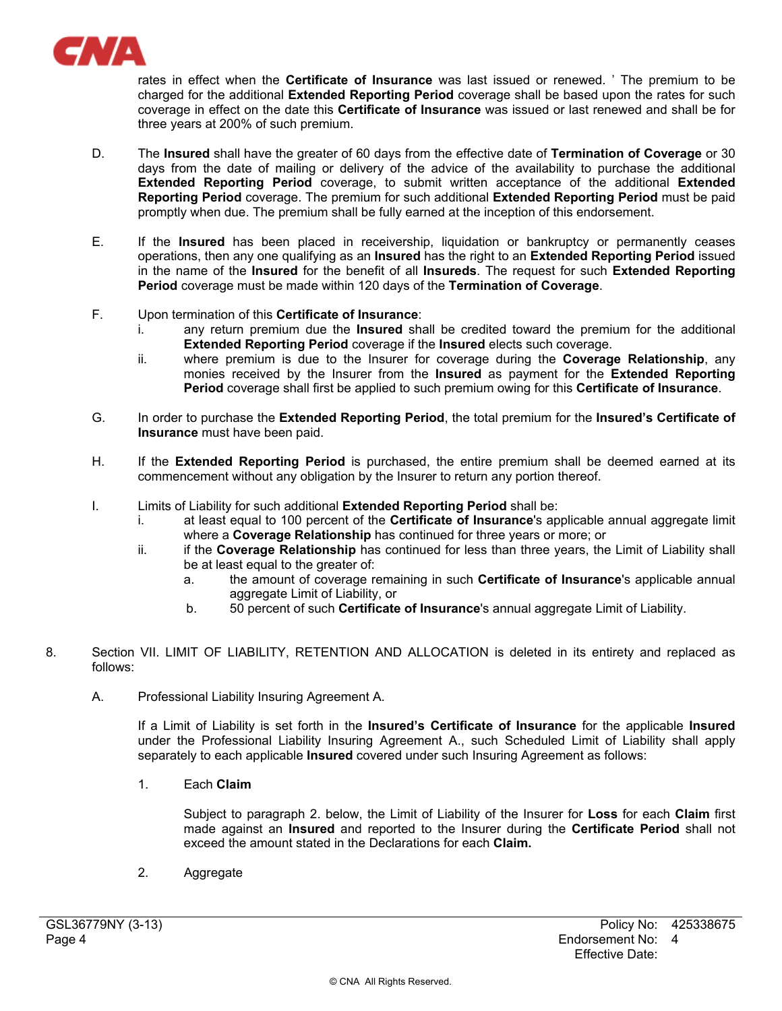

rates in effect when the **Certificate of Insurance** was last issued or renewed. ' The premium to be charged for the additional **Extended Reporting Period** coverage shall be based upon the rates for such coverage in effect on the date this **Certificate of Insurance** was issued or last renewed and shall be for three years at 200% of such premium.

- D. The **Insured** shall have the greater of 60 days from the effective date of **Termination of Coverage** or 30 days from the date of mailing or delivery of the advice of the availability to purchase the additional **Extended Reporting Period** coverage, to submit written acceptance of the additional **Extended Reporting Period** coverage. The premium for such additional **Extended Reporting Period** must be paid promptly when due. The premium shall be fully earned at the inception of this endorsement.
- E. If the **Insured** has been placed in receivership, liquidation or bankruptcy or permanently ceases operations, then any one qualifying as an **Insured** has the right to an **Extended Reporting Period** issued in the name of the **Insured** for the benefit of all **Insureds**. The request for such **Extended Reporting Period** coverage must be made within 120 days of the **Termination of Coverage**.
- F. Upon termination of this **Certificate of Insurance**:
	- i. any return premium due the **Insured** shall be credited toward the premium for the additional **Extended Reporting Period** coverage if the **Insured** elects such coverage.
	- ii. where premium is due to the Insurer for coverage during the **Coverage Relationship**, any monies received by the Insurer from the **Insured** as payment for the **Extended Reporting Period** coverage shall first be applied to such premium owing for this **Certificate of Insurance**.
- G. In order to purchase the **Extended Reporting Period**, the total premium for the **Insured's Certificate of Insurance** must have been paid.
- H. If the **Extended Reporting Period** is purchased, the entire premium shall be deemed earned at its commencement without any obligation by the Insurer to return any portion thereof.
- I. Limits of Liability for such additional **Extended Reporting Period** shall be:
	- i. at least equal to 100 percent of the **Certificate of Insurance**'s applicable annual aggregate limit where a **Coverage Relationship** has continued for three years or more; or
	- ii. if the **Coverage Relationship** has continued for less than three years, the Limit of Liability shall be at least equal to the greater of:
		- a. the amount of coverage remaining in such **Certificate of Insurance**'s applicable annual aggregate Limit of Liability, or
		- b. 50 percent of such **Certificate of Insurance**'s annual aggregate Limit of Liability.
- 8. Section VII. LIMIT OF LIABILITY, RETENTION AND ALLOCATION is deleted in its entirety and replaced as follows:
	- A. Professional Liability Insuring Agreement A.

If a Limit of Liability is set forth in the **Insured's Certificate of Insurance** for the applicable **Insured**  under the Professional Liability Insuring Agreement A., such Scheduled Limit of Liability shall apply separately to each applicable **Insured** covered under such Insuring Agreement as follows:

1. Each **Claim** 

Subject to paragraph 2. below, the Limit of Liability of the Insurer for **Loss** for each **Claim** first made against an **Insured** and reported to the Insurer during the **Certificate Period** shall not exceed the amount stated in the Declarations for each **Claim.** 

2. Aggregate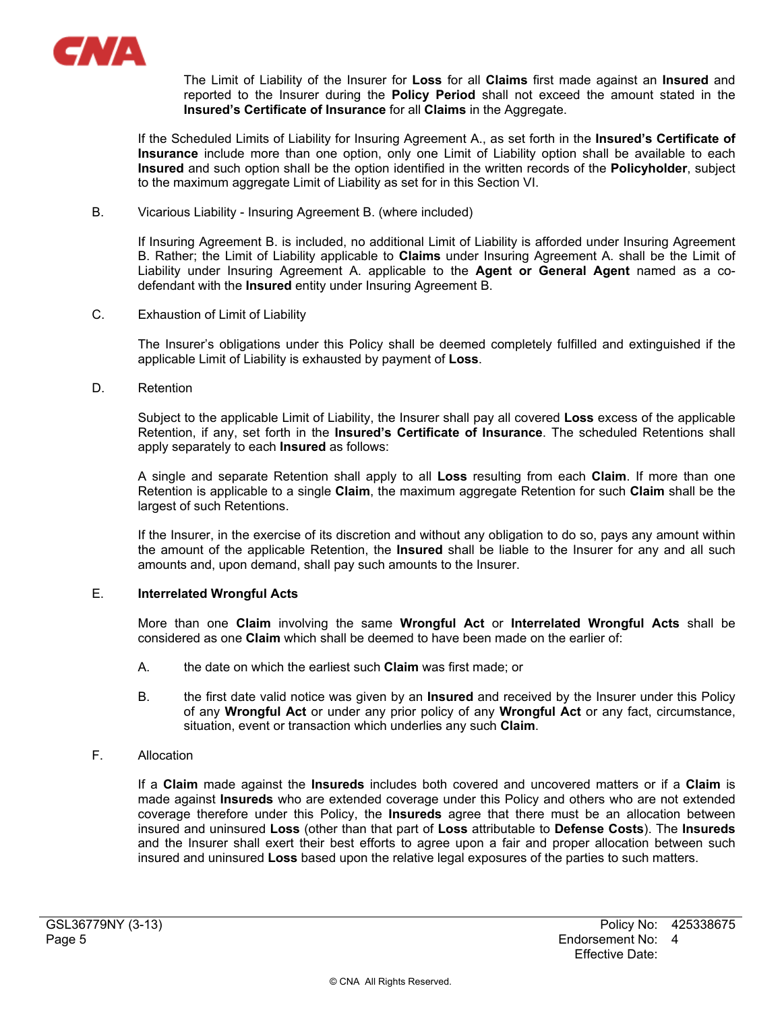

The Limit of Liability of the Insurer for **Loss** for all **Claims** first made against an **Insured** and reported to the Insurer during the **Policy Period** shall not exceed the amount stated in the **Insured's Certificate of Insurance** for all **Claims** in the Aggregate.

If the Scheduled Limits of Liability for Insuring Agreement A., as set forth in the **Insured's Certificate of Insurance** include more than one option, only one Limit of Liability option shall be available to each **Insured** and such option shall be the option identified in the written records of the **Policyholder**, subject to the maximum aggregate Limit of Liability as set for in this Section VI.

B. Vicarious Liability - Insuring Agreement B. (where included)

If Insuring Agreement B. is included, no additional Limit of Liability is afforded under Insuring Agreement B. Rather; the Limit of Liability applicable to **Claims** under Insuring Agreement A. shall be the Limit of Liability under Insuring Agreement A. applicable to the **Agent or General Agent** named as a codefendant with the **Insured** entity under Insuring Agreement B.

C. Exhaustion of Limit of Liability

The Insurer's obligations under this Policy shall be deemed completely fulfilled and extinguished if the applicable Limit of Liability is exhausted by payment of **Loss**.

D. Retention

Subject to the applicable Limit of Liability, the Insurer shall pay all covered **Loss** excess of the applicable Retention, if any, set forth in the **Insured's Certificate of Insurance**. The scheduled Retentions shall apply separately to each **Insured** as follows:

A single and separate Retention shall apply to all **Loss** resulting from each **Claim**. If more than one Retention is applicable to a single **Claim**, the maximum aggregate Retention for such **Claim** shall be the largest of such Retentions.

If the Insurer, in the exercise of its discretion and without any obligation to do so, pays any amount within the amount of the applicable Retention, the **Insured** shall be liable to the Insurer for any and all such amounts and, upon demand, shall pay such amounts to the Insurer.

# E. **Interrelated Wrongful Acts**

More than one **Claim** involving the same **Wrongful Act** or **Interrelated Wrongful Acts** shall be considered as one **Claim** which shall be deemed to have been made on the earlier of:

- A. the date on which the earliest such **Claim** was first made; or
- B. the first date valid notice was given by an **Insured** and received by the Insurer under this Policy of any **Wrongful Act** or under any prior policy of any **Wrongful Act** or any fact, circumstance, situation, event or transaction which underlies any such **Claim**.
- F. Allocation

If a **Claim** made against the **Insureds** includes both covered and uncovered matters or if a **Claim** is made against **Insureds** who are extended coverage under this Policy and others who are not extended coverage therefore under this Policy, the **Insureds** agree that there must be an allocation between insured and uninsured **Loss** (other than that part of **Loss** attributable to **Defense Costs**). The **Insureds** and the Insurer shall exert their best efforts to agree upon a fair and proper allocation between such insured and uninsured **Loss** based upon the relative legal exposures of the parties to such matters.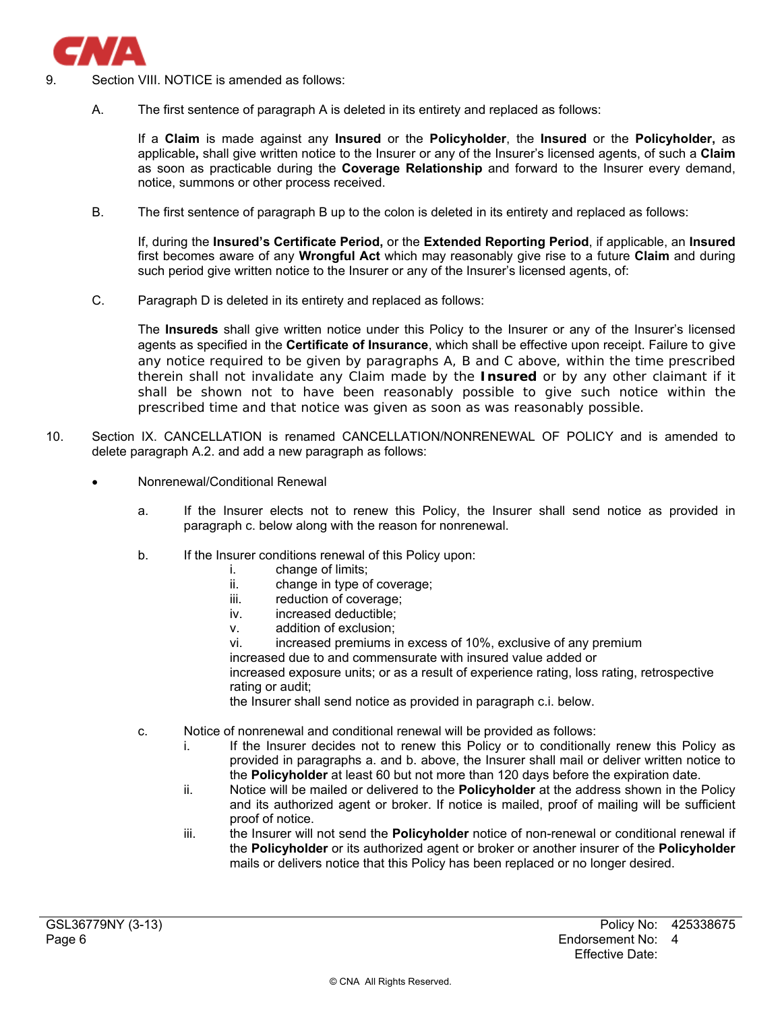

- Section VIII. NOTICE is amended as follows:
	- A. The first sentence of paragraph A is deleted in its entirety and replaced as follows:

If a **Claim** is made against any **Insured** or the **Policyholder**, the **Insured** or the **Policyholder,** as applicable**,** shall give written notice to the Insurer or any of the Insurer's licensed agents, of such a **Claim** as soon as practicable during the **Coverage Relationship** and forward to the Insurer every demand, notice, summons or other process received.

B. The first sentence of paragraph B up to the colon is deleted in its entirety and replaced as follows:

If, during the **Insured's Certificate Period,** or the **Extended Reporting Period**, if applicable, an **Insured** first becomes aware of any **Wrongful Act** which may reasonably give rise to a future **Claim** and during such period give written notice to the Insurer or any of the Insurer's licensed agents, of:

C. Paragraph D is deleted in its entirety and replaced as follows:

The **Insureds** shall give written notice under this Policy to the Insurer or any of the Insurer's licensed agents as specified in the **Certificate of Insurance**, which shall be effective upon receipt. Failure to give any notice required to be given by paragraphs A, B and C above, within the time prescribed therein shall not invalidate any Claim made by the **Insured** or by any other claimant if it shall be shown not to have been reasonably possible to give such notice within the prescribed time and that notice was given as soon as was reasonably possible.

- 10. Section IX. CANCELLATION is renamed CANCELLATION/NONRENEWAL OF POLICY and is amended to delete paragraph A.2. and add a new paragraph as follows:
	- Nonrenewal/Conditional Renewal
		- a. If the Insurer elects not to renew this Policy, the Insurer shall send notice as provided in paragraph c. below along with the reason for nonrenewal.
		- b. If the Insurer conditions renewal of this Policy upon:
			- i. change of limits;
			- ii. change in type of coverage;
			- iii. reduction of coverage;
			- iv. increased deductible;
			- v. addition of exclusion;

vi. increased premiums in excess of 10%, exclusive of any premium increased due to and commensurate with insured value added or increased exposure units; or as a result of experience rating, loss rating, retrospective rating or audit;

the Insurer shall send notice as provided in paragraph c.i. below.

- c. Notice of nonrenewal and conditional renewal will be provided as follows:
	- i. If the Insurer decides not to renew this Policy or to conditionally renew this Policy as provided in paragraphs a. and b. above, the Insurer shall mail or deliver written notice to the **Policyholder** at least 60 but not more than 120 days before the expiration date.
	- ii. Notice will be mailed or delivered to the **Policyholder** at the address shown in the Policy and its authorized agent or broker. If notice is mailed, proof of mailing will be sufficient proof of notice.
	- iii. the Insurer will not send the **Policyholder** notice of non-renewal or conditional renewal if the **Policyholder** or its authorized agent or broker or another insurer of the **Policyholder**  mails or delivers notice that this Policy has been replaced or no longer desired.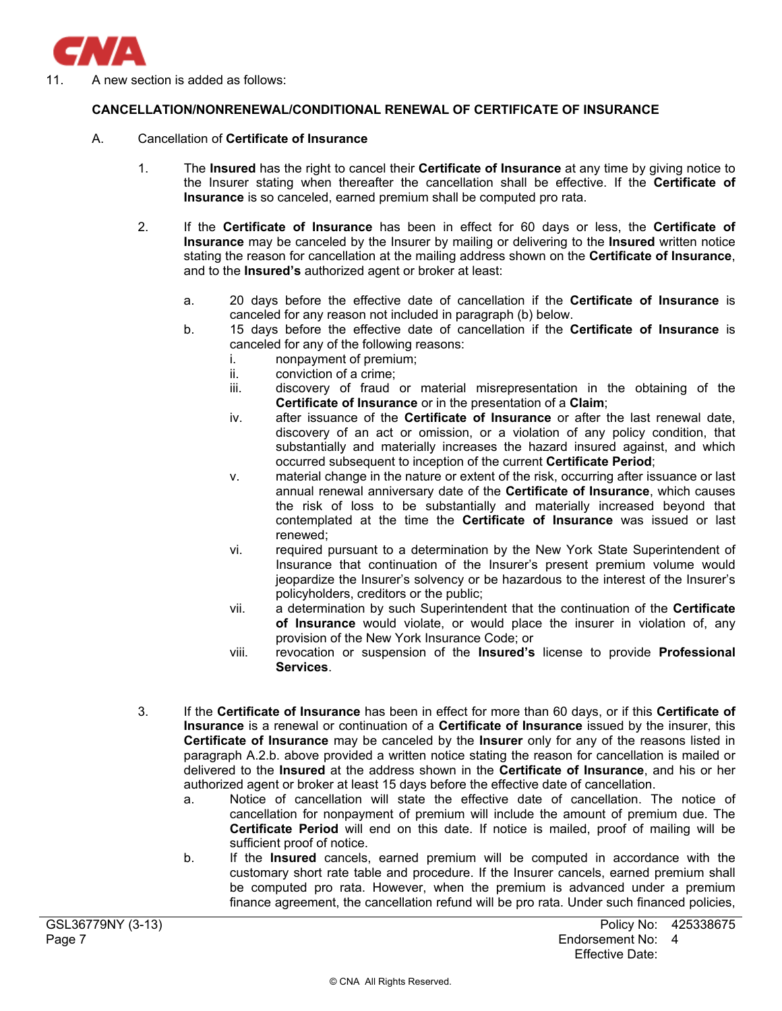

11. A new section is added as follows:

# **CANCELLATION/NONRENEWAL/CONDITIONAL RENEWAL OF CERTIFICATE OF INSURANCE**

## A. Cancellation of **Certificate of Insurance**

- 1. The **Insured** has the right to cancel their **Certificate of Insurance** at any time by giving notice to the Insurer stating when thereafter the cancellation shall be effective. If the **Certificate of Insurance** is so canceled, earned premium shall be computed pro rata.
- 2. If the **Certificate of Insurance** has been in effect for 60 days or less, the **Certificate of Insurance** may be canceled by the Insurer by mailing or delivering to the **Insured** written notice stating the reason for cancellation at the mailing address shown on the **Certificate of Insurance**, and to the **Insured's** authorized agent or broker at least:
	- a. 20 days before the effective date of cancellation if the **Certificate of Insurance** is canceled for any reason not included in paragraph (b) below.
	- b. 15 days before the effective date of cancellation if the **Certificate of Insurance** is canceled for any of the following reasons:
		- i. nonpayment of premium;
		- ii. conviction of a crime;
		- iii. discovery of fraud or material misrepresentation in the obtaining of the **Certificate of Insurance** or in the presentation of a **Claim**;
		- iv. after issuance of the **Certificate of Insurance** or after the last renewal date, discovery of an act or omission, or a violation of any policy condition, that substantially and materially increases the hazard insured against, and which occurred subsequent to inception of the current **Certificate Period**;
		- v. material change in the nature or extent of the risk, occurring after issuance or last annual renewal anniversary date of the **Certificate of Insurance**, which causes the risk of loss to be substantially and materially increased beyond that contemplated at the time the **Certificate of Insurance** was issued or last renewed;
		- vi. required pursuant to a determination by the New York State Superintendent of Insurance that continuation of the Insurer's present premium volume would jeopardize the Insurer's solvency or be hazardous to the interest of the Insurer's policyholders, creditors or the public;
		- vii. a determination by such Superintendent that the continuation of the **Certificate of Insurance** would violate, or would place the insurer in violation of, any provision of the New York Insurance Code; or
		- viii. revocation or suspension of the **Insured's** license to provide **Professional Services**.
- 3. If the **Certificate of Insurance** has been in effect for more than 60 days, or if this **Certificate of Insurance** is a renewal or continuation of a **Certificate of Insurance** issued by the insurer, this **Certificate of Insurance** may be canceled by the **Insurer** only for any of the reasons listed in paragraph A.2.b. above provided a written notice stating the reason for cancellation is mailed or delivered to the **Insured** at the address shown in the **Certificate of Insurance**, and his or her authorized agent or broker at least 15 days before the effective date of cancellation.
	- a. Notice of cancellation will state the effective date of cancellation. The notice of cancellation for nonpayment of premium will include the amount of premium due. The **Certificate Period** will end on this date. If notice is mailed, proof of mailing will be sufficient proof of notice.
	- b. If the **Insured** cancels, earned premium will be computed in accordance with the customary short rate table and procedure. If the Insurer cancels, earned premium shall be computed pro rata. However, when the premium is advanced under a premium finance agreement, the cancellation refund will be pro rata. Under such financed policies,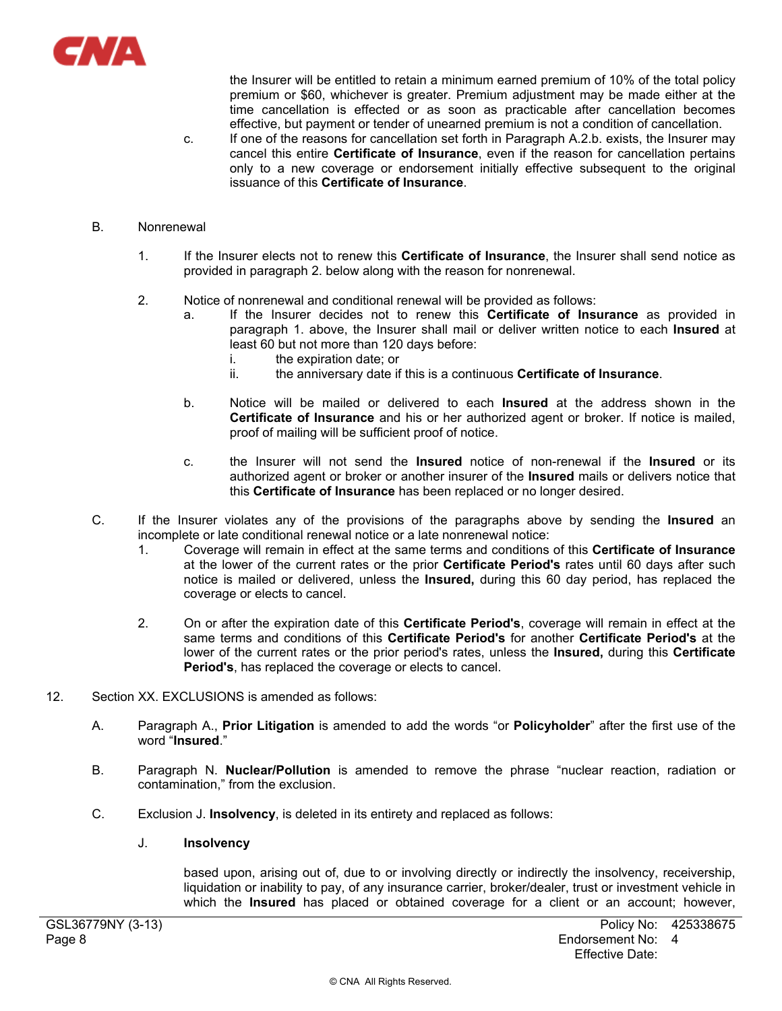

the Insurer will be entitled to retain a minimum earned premium of 10% of the total policy premium or \$60, whichever is greater. Premium adjustment may be made either at the time cancellation is effected or as soon as practicable after cancellation becomes effective, but payment or tender of unearned premium is not a condition of cancellation.

c. If one of the reasons for cancellation set forth in Paragraph A.2.b. exists, the Insurer may cancel this entire **Certificate of Insurance**, even if the reason for cancellation pertains only to a new coverage or endorsement initially effective subsequent to the original issuance of this **Certificate of Insurance**.

# B. Nonrenewal

- 1. If the Insurer elects not to renew this **Certificate of Insurance**, the Insurer shall send notice as provided in paragraph 2. below along with the reason for nonrenewal.
- 2. Notice of nonrenewal and conditional renewal will be provided as follows:
	- a. If the Insurer decides not to renew this **Certificate of Insurance** as provided in paragraph 1. above, the Insurer shall mail or deliver written notice to each **Insured** at least 60 but not more than 120 days before:
		- i. the expiration date; or
		- ii. the anniversary date if this is a continuous **Certificate of Insurance**.
	- b. Notice will be mailed or delivered to each **Insured** at the address shown in the **Certificate of Insurance** and his or her authorized agent or broker. If notice is mailed, proof of mailing will be sufficient proof of notice.
	- c. the Insurer will not send the **Insured** notice of non-renewal if the **Insured** or its authorized agent or broker or another insurer of the **Insured** mails or delivers notice that this **Certificate of Insurance** has been replaced or no longer desired.
- C. If the Insurer violates any of the provisions of the paragraphs above by sending the **Insured** an incomplete or late conditional renewal notice or a late nonrenewal notice:
	- 1. Coverage will remain in effect at the same terms and conditions of this **Certificate of Insurance** at the lower of the current rates or the prior **Certificate Period's** rates until 60 days after such notice is mailed or delivered, unless the **Insured,** during this 60 day period, has replaced the coverage or elects to cancel.
	- 2. On or after the expiration date of this **Certificate Period's**, coverage will remain in effect at the same terms and conditions of this **Certificate Period's** for another **Certificate Period's** at the lower of the current rates or the prior period's rates, unless the **Insured,** during this **Certificate Period's**, has replaced the coverage or elects to cancel.
- 12. Section XX. EXCLUSIONS is amended as follows:
	- A. Paragraph A., **Prior Litigation** is amended to add the words "or **Policyholder**" after the first use of the word "**Insured**."
	- B. Paragraph N. **Nuclear/Pollution** is amended to remove the phrase "nuclear reaction, radiation or contamination," from the exclusion.
	- C. Exclusion J. **Insolvency**, is deleted in its entirety and replaced as follows:

# J. **Insolvency**

based upon, arising out of, due to or involving directly or indirectly the insolvency, receivership, liquidation or inability to pay, of any insurance carrier, broker/dealer, trust or investment vehicle in which the **Insured** has placed or obtained coverage for a client or an account; however,